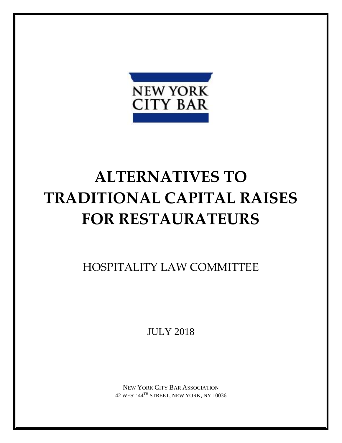

# **ALTERNATIVES TO TRADITIONAL CAPITAL RAISES FOR RESTAURATEURS**

HOSPITALITY LAW COMMITTEE

JULY 2018

NEW YORK CITY BAR ASSOCIATION 42 WEST 44TH STREET, NEW YORK, NY 10036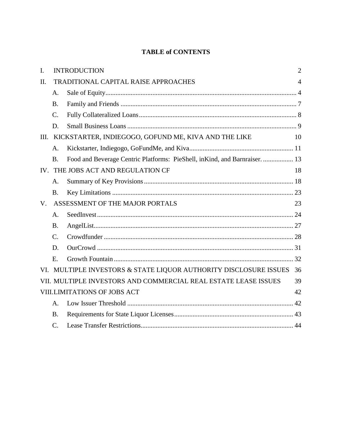# **TABLE of CONTENTS**

| I.                                  | <b>INTRODUCTION</b>                  |                                                                            | $\overline{2}$ |
|-------------------------------------|--------------------------------------|----------------------------------------------------------------------------|----------------|
| II.                                 | TRADITIONAL CAPITAL RAISE APPROACHES |                                                                            | $\overline{4}$ |
|                                     | A.                                   |                                                                            |                |
|                                     | <b>B.</b>                            |                                                                            |                |
|                                     | $\mathcal{C}$ .                      |                                                                            |                |
|                                     | D.                                   |                                                                            |                |
| III.                                |                                      | KICKSTARTER, INDIEGOGO, GOFUND ME, KIVA AND THE LIKE                       | 10             |
|                                     | A.                                   |                                                                            |                |
|                                     | <b>B.</b>                            | Food and Beverage Centric Platforms: PieShell, inKind, and Barnraiser.  13 |                |
|                                     | IV. THE JOBS ACT AND REGULATION CF   |                                                                            | 18             |
|                                     | A.                                   |                                                                            |                |
|                                     | <b>B.</b>                            |                                                                            |                |
| $V_{\cdot}$                         | ASSESSMENT OF THE MAJOR PORTALS      |                                                                            | 23             |
|                                     | A.                                   |                                                                            |                |
|                                     | <b>B.</b>                            |                                                                            |                |
|                                     | $\mathcal{C}$ .                      |                                                                            |                |
|                                     | D.                                   |                                                                            |                |
|                                     | E.                                   |                                                                            |                |
|                                     |                                      | VI. MULTIPLE INVESTORS & STATE LIQUOR AUTHORITY DISCLOSURE ISSUES          | 36             |
|                                     |                                      | VII. MULTIPLE INVESTORS AND COMMERCIAL REAL ESTATE LEASE ISSUES            | 39             |
| <b>VIII.LIMITATIONS OF JOBS ACT</b> |                                      |                                                                            |                |
|                                     | A.                                   |                                                                            |                |
|                                     | <b>B.</b>                            |                                                                            |                |
|                                     | $C$ .                                |                                                                            |                |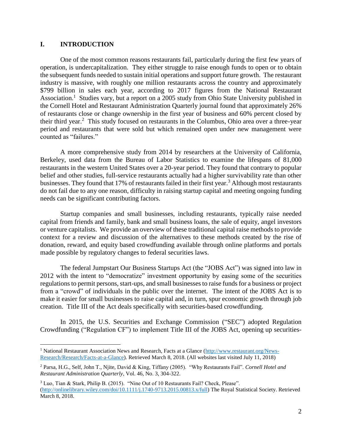### **I. INTRODUCTION**

 $\overline{a}$ 

One of the most common reasons restaurants fail, particularly during the first few years of operation, is undercapitalization. They either struggle to raise enough funds to open or to obtain the subsequent funds needed to sustain initial operations and support future growth. The restaurant industry is massive, with roughly one million restaurants across the country and approximately \$799 billion in sales each year, according to 2017 figures from the National Restaurant Association.<sup>1</sup> Studies vary, but a report on a 2005 study from Ohio State University published in the Cornell Hotel and Restaurant Administration Quarterly journal found that approximately 26% of restaurants close or change ownership in the first year of business and 60% percent closed by their third year. 2 This study focused on restaurants in the Columbus, Ohio area over a three-year period and restaurants that were sold but which remained open under new management were counted as "failures."

A more comprehensive study from 2014 by researchers at the University of California, Berkeley, used data from the Bureau of Labor Statistics to examine the lifespans of 81,000 restaurants in the western United States over a 20-year period. They found that contrary to popular belief and other studies, full-service restaurants actually had a higher survivability rate than other businesses. They found that 17% of restaurants failed in their first year.<sup>3</sup> Although most restaurants do not fail due to any one reason, difficulty in raising startup capital and meeting ongoing funding needs can be significant contributing factors.

Startup companies and small businesses, including restaurants, typically raise needed capital from friends and family, bank and small business loans, the sale of equity, angel investors or venture capitalists. We provide an overview of these traditional capital raise methods to provide context for a review and discussion of the alternatives to these methods created by the rise of donation, reward, and equity based crowdfunding available through online platforms and portals made possible by regulatory changes to federal securities laws.

The federal Jumpstart Our Business Startups Act (the "JOBS Act") was signed into law in 2012 with the intent to "democratize" investment opportunity by easing some of the securities regulations to permit persons, start-ups, and small businesses to raise funds for a business or project from a "crowd" of individuals in the public over the internet. The intent of the JOBS Act is to make it easier for small businesses to raise capital and, in turn, spur economic growth through job creation. Title III of the Act deals specifically with securities-based [crowdfunding.](https://www.investopedia.com/terms/c/crowdfunding.asp)

In 2015, the U.S. Securities and Exchange Commission ("SEC") adopted Regulation Crowdfunding ("Regulation CF") to implement Title III of the [JOBS Act,](https://www.investopedia.com/terms/j/jumpstart-our-business-startups-act-jobs.asp) opening up securities-

<sup>&</sup>lt;sup>1</sup> National Restaurant Association News and Research, Facts at a Glance [\(http://www.restaurant.org/News-](http://www.restaurant.org/News-Research/Research/Facts-at-a-Glance)[Research/Research/Facts-at-a-Glance\)](http://www.restaurant.org/News-Research/Research/Facts-at-a-Glance). Retrieved March 8, 2018. (All websites last visited July 11, 2018)

<sup>2</sup> Parsa, H.G., Self, John T., Njite, David & King, Tiffany (2005). "Why Restaurants Fail". *Cornell Hotel and Restaurant Administration Quarterly*, Vol. 46, No. 3, 304-322.

<sup>3</sup> Luo, Tian & Stark, Philip B. (2015). "Nine Out of 10 Restaurants Fail? Check, Please". [\(http://onlinelibrary.wiley.com/doi/10.1111/j.1740-9713.2015.00813.x/full\)](http://onlinelibrary.wiley.com/doi/10.1111/j.1740-9713.2015.00813.x/full) The Royal Statistical Society. Retrieved March 8, 2018.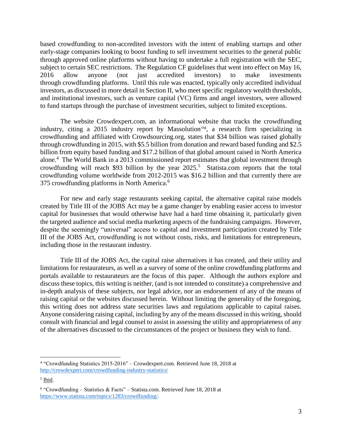based crowdfunding to [non-accredited](https://www.investopedia.com/terms/n/nonaccreditedinvestor.asp) investors with the intent of enabling startups and other early-stage companies looking to boost funding to sell investment securities to the general public through approved online platforms without having to undertake a full registration with the SEC, subject to certain SEC restrictions. The Regulation CF guidelines that went into effect on May 16, 2016 allow anyone (not just [accredited](https://www.investopedia.com/terms/a/accreditedinvestor.asp) investors) to make investments through crowdfunding platforms. Until this rule was enacted, typically only [accredited individual](https://www.investopedia.com/terms/a/accreditedinvestor.asp)  [investors,](https://www.investopedia.com/terms/a/accreditedinvestor.asp) as discussed in more detail in Section II, who meet specific regulatory wealth thresholds, and institutional investors, such as [venture capital](https://www.investopedia.com/terms/v/venturecapital.asp) (VC) firms and angel investors, were allowed to fund startups through the purchase of investment securities, subject to limited exceptions.

The website Crowdexpert.com, an informational website that tracks the crowdfunding industry, citing a 2015 industry report by Massolution<sup>TM</sup>, a research firm specializing in crowdfunding and affiliated with Crowdsourcing.org, states that \$34 billion was raised globally through crowdfunding in 2015, with \$5.5 billion from donation and reward based funding and \$2.5 billion from equity based funding and \$17.2 billion of that global amount raised in North America alone.<sup>4</sup> The World Bank in a 2013 commissioned report estimates that global investment through crowdfunding will reach \$93 billion by the year  $2025$ <sup>5</sup> Statista.com reports that the total crowdfunding volume worldwide from 2012-2015 was \$16.2 billion and that currently there are 375 crowdfunding platforms in North America.<sup>6</sup>

For new and early stage restaurants seeking capital, the alternative capital raise models created by Title III of the JOBS Act may be a game changer by enabling easier access to investor capital for businesses that would otherwise have had a hard time obtaining it, particularly given the targeted audience and social media marketing aspects of the fundraising campaigns. However, despite the seemingly "universal" access to capital and investment participation created by Title III of the JOBS Act, crowdfunding is not without costs, risks, and limitations for entrepreneurs, including those in the restaurant industry.

Title III of the JOBS Act, the capital raise alternatives it has created, and their utility and limitations for restaurateurs, as well as a survey of some of the online crowdfunding platforms and portals available to restaurateurs are the focus of this paper. Although the authors explore and discuss these topics, this writing is neither, (and is not intended to constitute) a comprehensive and in-depth analysis of these subjects, nor legal advice, nor an endorsement of any of the means of raising capital or the websites discussed herein. Without limiting the generality of the foregoing, this writing does not address state securities laws and regulations applicable to capital raises. Anyone considering raising capital, including by any of the means discussed in this writing, should consult with financial and legal counsel to assist in assessing the utility and appropriateness of any of the alternatives discussed to the circumstances of the project or business they wish to fund.

<sup>4</sup> "Crowdfunding Statistics 2015-2016" – Crowdexpert.com. Retrieved June 18, 2018 at <http://crowdexpert.com/crowdfunding-industry-statistics/>

<sup>&</sup>lt;sup>5</sup> Ibid.

<sup>6</sup> "Crowdfunding – Statistics & Facts" – Statista.com. Retrieved June 18, 2018 at [https://www.statista.com/topics/1283/crowdfunding/.](https://www.statista.com/topics/1283/crowdfunding/)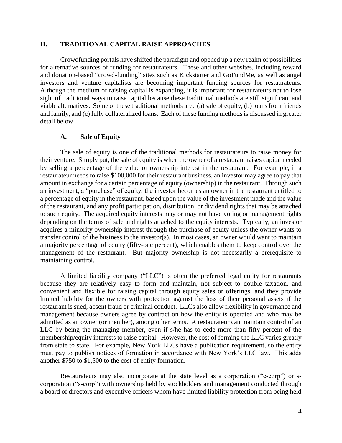#### **II. TRADITIONAL CAPITAL RAISE APPROACHES**

Crowdfunding portals have shifted the paradigm and opened up a new realm of possibilities for alternative sources of funding for restaurateurs. These and other websites, including reward and donation-based "crowd-funding" sites such as Kickstarter and GoFundMe, as well as angel investors and venture capitalists are becoming important funding sources for restaurateurs. Although the medium of raising capital is expanding, it is important for restaurateurs not to lose sight of traditional ways to raise capital because these traditional methods are still significant and viable alternatives. Some of these traditional methods are: (a) sale of equity, (b) loans from friends and family, and (c) fully collateralized loans. Each of these funding methods is discussed in greater detail below.

#### **A. Sale of Equity**

The sale of equity is one of the traditional methods for restaurateurs to raise money for their venture. Simply put, the sale of equity is when the owner of a restaurant raises capital needed by selling a percentage of the value or ownership interest in the restaurant. For example, if a restaurateur needs to raise \$100,000 for their restaurant business, an investor may agree to pay that amount in exchange for a certain percentage of equity (ownership) in the restaurant. Through such an investment, a "purchase" of equity, the investor becomes an owner in the restaurant entitled to a percentage of equity in the restaurant, based upon the value of the investment made and the value of the restaurant, and any profit participation, distribution, or dividend rights that may be attached to such equity. The acquired equity interests may or may not have voting or management rights depending on the terms of sale and rights attached to the equity interests. Typically, an investor acquires a minority ownership interest through the purchase of equity unless the owner wants to transfer control of the business to the investor(s). In most cases, an owner would want to maintain a majority percentage of equity (fifty-one percent), which enables them to keep control over the management of the restaurant. But majority ownership is not necessarily a prerequisite to maintaining control.

A limited liability company ("LLC") is often the preferred legal entity for restaurants because they are relatively easy to form and maintain, not subject to double taxation, and convenient and flexible for raising capital through equity sales or offerings, and they provide limited liability for the owners with protection against the loss of their personal assets if the restaurant is sued, absent fraud or criminal conduct. LLCs also allow flexibility in governance and management because owners agree by contract on how the entity is operated and who may be admitted as an owner (or member), among other terms. A restaurateur can maintain control of an LLC by being the managing member, even if s/he has to cede more than fifty percent of the membership/equity interests to raise capital. However, the cost of forming the LLC varies greatly from state to state. For example, New York LLCs have a publication requirement, so the entity must pay to publish notices of formation in accordance with New York's LLC law. This adds another \$750 to \$1,500 to the cost of entity formation.

Restaurateurs may also incorporate at the state level as a corporation ("c-corp") or scorporation ("s-corp") with ownership held by stockholders and management conducted through a board of directors and executive officers whom have limited liability protection from being held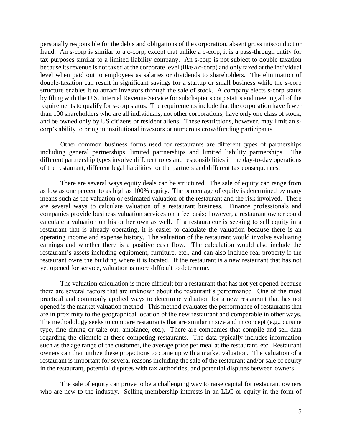personally responsible for the debts and obligations of the corporation, absent gross misconduct or fraud. An s-corp is similar to a c-corp, except that unlike a c-corp, it is a pass-through entity for tax purposes similar to a limited liability company. An s-corp is not subject to double taxation because its revenue is not taxed at the corporate level (like a c-corp) and only taxed at the individual level when paid out to employees as salaries or dividends to shareholders. The elimination of double-taxation can result in significant savings for a startup or small business while the s-corp structure enables it to attract investors through the sale of stock. A company elects s-corp status by filing with the U.S. Internal Revenue Service for subchapter s corp status and meeting all of the requirements to qualify for s-corp status. The requirements include that the corporation have fewer than 100 shareholders who are all individuals, not other corporations; have only one class of stock; and be owned only by US citizens or resident aliens. These restrictions, however, may limit an scorp's ability to bring in institutional investors or numerous crowdfunding participants.

Other common business forms used for restaurants are different types of partnerships including general partnerships, limited partnerships and limited liability partnerships. different partnership types involve different roles and responsibilities in the day-to-day operations of the restaurant, different legal liabilities for the partners and different tax consequences.

There are several ways equity deals can be structured. The sale of equity can range from as low as one percent to as high as 100% equity. The percentage of equity is determined by many means such as the valuation or estimated valuation of the restaurant and the risk involved. There are several ways to calculate valuation of a restaurant business. Finance professionals and companies provide business valuation services on a fee basis; however, a restaurant owner could calculate a valuation on his or her own as well. If a restaurateur is seeking to sell equity in a restaurant that is already operating, it is easier to calculate the valuation because there is an operating income and expense history. The valuation of the restaurant would involve evaluating earnings and whether there is a positive cash flow. The calculation would also include the restaurant's assets including equipment, furniture, etc., and can also include real property if the restaurant owns the building where it is located. If the restaurant is a new restaurant that has not yet opened for service, valuation is more difficult to determine.

The valuation calculation is more difficult for a restaurant that has not yet opened because there are several factors that are unknown about the restaurant's performance. One of the most practical and commonly applied ways to determine valuation for a new restaurant that has not opened is the market valuation method. This method evaluates the performance of restaurants that are in proximity to the geographical location of the new restaurant and comparable in other ways. The methodology seeks to compare restaurants that are similar in size and in concept  $(e.g.,$  cuisine type, fine dining or take out, ambiance, etc.). There are companies that compile and sell data regarding the clientele at these competing restaurants. The data typically includes information such as the age range of the customer, the average price per meal at the restaurant, etc. Restaurant owners can then utilize these projections to come up with a market valuation. The valuation of a restaurant is important for several reasons including the sale of the restaurant and/or sale of equity in the restaurant, potential disputes with tax authorities, and potential disputes between owners.

The sale of equity can prove to be a challenging way to raise capital for restaurant owners who are new to the industry. Selling membership interests in an LLC or equity in the form of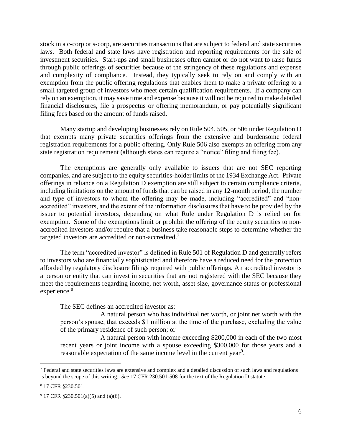stock in a c-corp or s-corp, are securities transactions that are subject to federal and state securities laws. Both federal and state laws have registration and reporting requirements for the sale of investment securities. Start-ups and small businesses often cannot or do not want to raise funds through public offerings of securities because of the stringency of these regulations and expense and complexity of compliance. Instead, they typically seek to rely on and comply with an exemption from the public offering regulations that enables them to make a private offering to a small targeted group of investors who meet certain qualification requirements. If a company can rely on an exemption, it may save time and expense because it will not be required to make detailed financial disclosures, file a prospectus or offering memorandum, or pay potentially significant filing fees based on the amount of funds raised.

Many startup and developing businesses rely on Rule 504, 505, or 506 under Regulation D that exempts many private securities offerings from the extensive and burdensome federal registration requirements for a public offering. Only Rule 506 also exempts an offering from any state registration requirement (although states can require a "notice" filing and filing fee).

The exemptions are generally only available to issuers that are not SEC reporting companies, and are subject to the equity securities-holder limits of the 1934 Exchange Act. Private offerings in reliance on a Regulation D exemption are still subject to certain compliance criteria, including limitations on the amount of funds that can be raised in any 12-month period, the number and type of investors to whom the offering may be made, including "accredited" and "nonaccredited" investors, and the extent of the information disclosures that have to be provided by the issuer to potential investors, depending on what Rule under Regulation D is relied on for exemption. Some of the exemptions limit or prohibit the offering of the equity securities to nonaccredited investors and/or require that a business take reasonable steps to determine whether the targeted investors are accredited or non-accredited.<sup>7</sup>

The term "accredited investor" is defined in Rule 501 of Regulation D and generally refers to investors who are financially sophisticated and therefore have a reduced need for the protection afforded by regulatory disclosure filings required with public offerings. An accredited investor is a person or entity that can invest in securities that are not registered with the SEC because they meet the requirements regarding income, net worth, asset size, governance status or professional experience.<sup>8</sup>

The SEC defines an accredited investor as:

A natural person who has individual net worth, or joint net worth with the person's spouse, that exceeds \$1 million at the time of the purchase, excluding the value of the primary residence of such person; or

A natural person with income exceeding \$200,000 in each of the two most recent years or joint income with a spouse exceeding \$300,000 for those years and a reasonable expectation of the same income level in the current year<sup>9</sup>.

 $<sup>7</sup>$  Federal and state securities laws are extensive and complex and a detailed discussion of such laws and regulations</sup> is beyond the scope of this writing. *See* 17 CFR 230.501-508 for the text of the Regulation D statute.

<sup>8</sup> 17 CFR §230.501.

 $9$  17 CFR §230.501(a)(5) and (a)(6).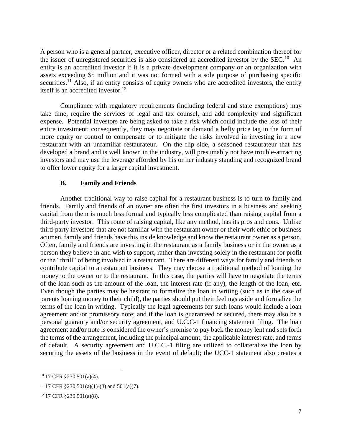A person who is a general partner, executive officer, director or a related combination thereof for the issuer of unregistered securities is also considered an accredited investor by the SEC.<sup>10</sup> An entity is an accredited investor if it is a private development company or an organization with assets exceeding \$5 million and it was not formed with a sole purpose of purchasing specific securities.<sup>11</sup> Also, if an entity consists of equity owners who are accredited investors, the entity itself is an accredited investor.<sup>12</sup>

Compliance with regulatory requirements (including federal and state exemptions) may take time, require the services of legal and tax counsel, and add complexity and significant expense. Potential investors are being asked to take a risk which could include the loss of their entire investment; consequently, they may negotiate or demand a hefty price tag in the form of more equity or control to compensate or to mitigate the risks involved in investing in a new restaurant with an unfamiliar restaurateur. On the flip side, a seasoned restaurateur that has developed a brand and is well known in the industry, will presumably not have trouble-attracting investors and may use the leverage afforded by his or her industry standing and recognized brand to offer lower equity for a larger capital investment.

#### **B. Family and Friends**

Another traditional way to raise capital for a restaurant business is to turn to family and friends. Family and friends of an owner are often the first investors in a business and seeking capital from them is much less formal and typically less complicated than raising capital from a third-party investor. This route of raising capital, like any method, has its pros and cons. Unlike third-party investors that are not familiar with the restaurant owner or their work ethic or business acumen, family and friends have this inside knowledge and know the restaurant owner as a person. Often, family and friends are investing in the restaurant as a family business or in the owner as a person they believe in and wish to support, rather than investing solely in the restaurant for profit or the "thrill" of being involved in a restaurant. There are different ways for family and friends to contribute capital to a restaurant business. They may choose a traditional method of loaning the money to the owner or to the restaurant. In this case, the parties will have to negotiate the terms of the loan such as the amount of the loan, the interest rate (if any), the length of the loan, etc. Even though the parties may be hesitant to formalize the loan in writing (such as in the case of parents loaning money to their child), the parties should put their feelings aside and formalize the terms of the loan in writing. Typically the legal agreements for such loans would include a loan agreement and/or promissory note; and if the loan is guaranteed or secured, there may also be a personal guaranty and/or security agreement, and U.C.C-1 financing statement filing. The loan agreement and/or note is considered the owner's promise to pay back the money lent and sets forth the terms of the arrangement, including the principal amount, the applicable interest rate, and terms of default. A security agreement and U.C.C.-1 filing are utilized to collateralize the loan by securing the assets of the business in the event of default; the UCC-1 statement also creates a

 $10$  17 CFR §230.501(a)(4).

<sup>&</sup>lt;sup>11</sup> 17 CFR §230.501(a)(1)-(3) and 501(a)(7).

<sup>12</sup> 17 CFR §230.501(a)(8).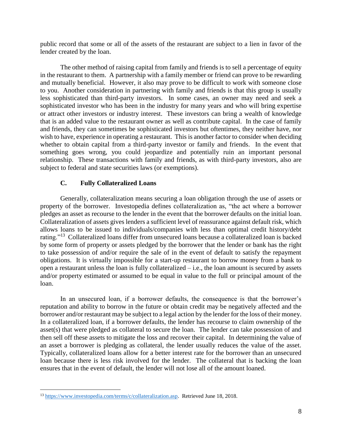public record that some or all of the assets of the restaurant are subject to a lien in favor of the lender created by the loan.

The other method of raising capital from family and friends is to sell a percentage of equity in the restaurant to them. A partnership with a family member or friend can prove to be rewarding and mutually beneficial. However, it also may prove to be difficult to work with someone close to you. Another consideration in partnering with family and friends is that this group is usually less sophisticated than third-party investors. In some cases, an owner may need and seek a sophisticated investor who has been in the industry for many years and who will bring expertise or attract other investors or industry interest. These investors can bring a wealth of knowledge that is an added value to the restaurant owner as well as contribute capital. In the case of family and friends, they can sometimes be sophisticated investors but oftentimes, they neither have, nor wish to have, experience in operating a restaurant. This is another factor to consider when deciding whether to obtain capital from a third-party investor or family and friends. In the event that something goes wrong, you could jeopardize and potentially ruin an important personal relationship. These transactions with family and friends, as with third-party investors, also are subject to federal and state securities laws (or exemptions).

## **C. Fully Collateralized Loans**

Generally, collateralization means securing a loan obligation through the use of assets or property of the borrower. Investopedia defines collateralization as, "the act where a borrower pledges an asset as recourse to the lender in the event that the borrower defaults on the initial loan. Collateralization of assets gives lenders a sufficient level of reassurance against default risk, which allows loans to be issued to individuals/companies with less than optimal credit history/debt rating."<sup>13</sup> Collateralized loans differ from unsecured loans because a collateralized loan is backed by some form of property or assets pledged by the borrower that the lender or bank has the right to take possession of and/or require the sale of in the event of default to satisfy the repayment obligations. It is virtually impossible for a start-up restaurant to borrow money from a bank to open a restaurant unless the loan is fully collateralized – i.e., the loan amount is secured by assets and/or property estimated or assumed to be equal in value to the full or principal amount of the loan.

In an unsecured loan, if a borrower defaults, the consequence is that the borrower's reputation and ability to borrow in the future or obtain credit may be negatively affected and the borrower and/or restaurant may be subject to a legal action by the lender for the loss of their money. In a collateralized loan, if a borrower defaults, the lender has recourse to claim ownership of the asset(s) that were pledged as collateral to secure the loan. The lender can take possession of and then sell off these assets to mitigate the loss and recover their capital. In determining the value of an asset a borrower is pledging as collateral, the lender usually reduces the value of the asset. Typically, collateralized loans allow for a better interest rate for the borrower than an unsecured loan because there is less risk involved for the lender. The collateral that is backing the loan ensures that in the event of default, the lender will not lose all of the amount loaned.

<sup>13</sup> [https://www.investopedia.com/terms/c/collateralization.asp.](https://www.investopedia.com/terms/c/collateralization.asp) Retrieved June 18, 2018.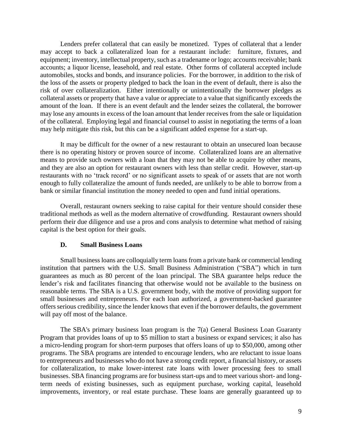Lenders prefer collateral that can easily be monetized. Types of collateral that a lender may accept to back a collateralized loan for a restaurant include: furniture, fixtures, and equipment; inventory, intellectual property, such as a tradename or logo; accounts receivable; bank accounts; a liquor license, leasehold, and real estate. Other forms of collateral accepted include automobiles, stocks and bonds, and insurance policies. For the borrower, in addition to the risk of the loss of the assets or property pledged to back the loan in the event of default, there is also the risk of over collateralization. Either intentionally or unintentionally the borrower pledges as collateral assets or property that have a value or appreciate to a value that significantly exceeds the amount of the loan. If there is an event default and the lender seizes the collateral, the borrower may lose any amounts in excess of the loan amount that lender receives from the sale or liquidation of the collateral. Employing legal and financial counsel to assist in negotiating the terms of a loan may help mitigate this risk, but this can be a significant added expense for a start-up.

It may be difficult for the owner of a new restaurant to obtain an unsecured loan because there is no operating history or proven source of income. Collateralized loans are an alternative means to provide such owners with a loan that they may not be able to acquire by other means, and they are also an option for restaurant owners with less than stellar credit. However, start-up restaurants with no 'track record' or no significant assets to speak of or assets that are not worth enough to fully collateralize the amount of funds needed, are unlikely to be able to borrow from a bank or similar financial institution the money needed to open and fund initial operations.

Overall, restaurant owners seeking to raise capital for their venture should consider these traditional methods as well as the modern alternative of crowdfunding. Restaurant owners should perform their due diligence and use a pros and cons analysis to determine what method of raising capital is the best option for their goals.

#### **D. Small Business Loans**

Small business loans are colloquially term loans from a private bank or commercial lending institution that partners with the U.S. Small Business Administration ("SBA") which in turn guarantees as much as 80 percent of the loan principal. The SBA guarantee helps reduce the lender's risk and facilitates financing that otherwise would not be available to the business on reasonable terms. The SBA is a U.S. government body, with the motive of providing support for small businesses and entrepreneurs. For each loan authorized, a government-backed guarantee offers serious credibility, since the lender knows that even if the borrower defaults, the government will pay off most of the balance.

The SBA's primary business loan program is the 7(a) General Business Loan Guaranty Program that provides loans of up to \$5 million to start a business or expand services; it also has a micro-lending program for short-term purposes that offers loans of up to \$50,000, among other programs. The SBA programs are intended to encourage lenders, who are reluctant to issue loans to entrepreneurs and businesses who do not have a strong credit report, a financial history, or assets for collateralization, to make lower-interest rate loans with lower processing fees to small businesses. SBA financing programs are for business start-ups and to meet various short- and longterm needs of existing businesses, such as equipment purchase, working capital, leasehold improvements, inventory, or real estate purchase. These loans are generally guaranteed up to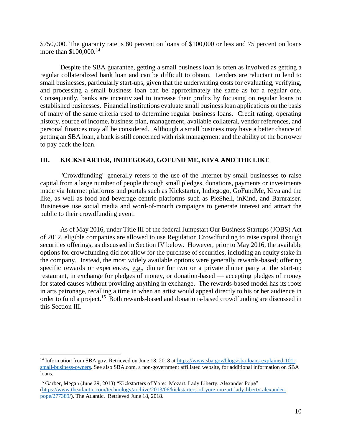\$750,000. The guaranty rate is 80 percent on loans of \$100,000 or less and 75 percent on loans more than \$100,000.<sup>14</sup>

Despite the SBA guarantee, getting a small business loan is often as involved as getting a regular collateralized bank loan and can be difficult to obtain. Lenders are reluctant to lend to small businesses, particularly start-ups, given that the underwriting costs for evaluating, verifying, and processing a small business loan can be approximately the same as for a regular one. Consequently, banks are incentivized to increase their profits by focusing on regular loans to established businesses. Financial institutions evaluate small business loan applications on the basis of many of the same criteria used to determine regular business loans. Credit rating, operating history, source of income, business plan, management, available collateral, vendor references, and personal finances may all be considered. Although a small business may have a better chance of getting an SBA loan, a bank is still concerned with risk management and the ability of the borrower to pay back the loan.

## **III. KICKSTARTER, INDIEGOGO, GOFUND ME, KIVA AND THE LIKE**

"Crowdfunding" generally refers to the use of the Internet by small businesses to raise capital from a large number of people through small pledges, donations, payments or investments made via Internet platforms and portals such as Kickstarter, Indiegogo, GoFundMe, Kiva and the like, as well as food and beverage centric platforms such as PieShell, inKind, and Barnraiser. Businesses use social media and word-of-mouth campaigns to generate interest and attract the public to their crowdfunding event.

As of May 2016, under Title III of the federal Jumpstart Our Business Startups (JOBS) Act of 2012, eligible companies are allowed to use Regulation Crowdfunding to raise capital through securities offerings, as discussed in Section IV below. However, prior to May 2016, the available options for crowdfunding did not allow for the purchase of securities, including an equity stake in the company. Instead, the most widely available options were generally rewards-based; offering specific rewards or experiences, e.g., dinner for two or a private dinner party at the start-up restaurant, in exchange for pledges of money, or donation-based — accepting pledges of money for stated causes without providing anything in exchange. The rewards-based model has its roots in arts patronage, recalling a time in when an artist would appeal directly to his or her audience in order to fund a project.<sup>15</sup> Both rewards-based and donations-based crowdfunding are discussed in this Section III.

<sup>14</sup> Information from SBA.gov. Retrieved on June 18, 2018 at [https://www.sba.gov/blogs/sba-loans-explained-101](https://www.sba.gov/blogs/sba-loans-explained-101-small-business-owners.%20See%20also%20SBA.com) [small-business-owners. See also SBA.com,](https://www.sba.gov/blogs/sba-loans-explained-101-small-business-owners.%20See%20also%20SBA.com) a non-government affiliated website, for additional information on SBA loans.

<sup>&</sup>lt;sup>15</sup> Garber, Megan (June 29, 2013) "Kickstarters of Yore: Mozart, Lady Liberty, Alexander Pope" [\(https://www.theatlantic.com/technology/archive/2013/06/kickstarters-of-yore-mozart-lady-liberty-alexander](https://www.theatlantic.com/technology/archive/2013/06/kickstarters-of-yore-mozart-lady-liberty-alexander-pope/277389/)[pope/277389/\)](https://www.theatlantic.com/technology/archive/2013/06/kickstarters-of-yore-mozart-lady-liberty-alexander-pope/277389/). The Atlantic. Retrieved June 18, 2018.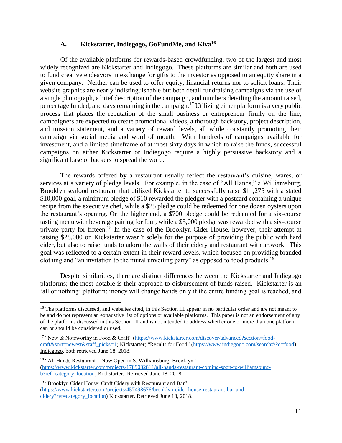## **A. Kickstarter, Indiegogo, GoFundMe, and Kiva<sup>16</sup>**

Of the available platforms for rewards-based crowdfunding, two of the largest and most widely recognized are Kickstarter and Indiegogo. These platforms are similar and both are used to fund creative endeavors in exchange for gifts to the investor as opposed to an equity share in a given company. Neither can be used to offer equity, financial returns nor to solicit loans. Their website graphics are nearly indistinguishable but both detail fundraising campaigns via the use of a single photograph, a brief description of the campaign, and numbers detailing the amount raised, percentage funded, and days remaining in the campaign.<sup>17</sup> Utilizing either platform is a very public process that places the reputation of the small business or entrepreneur firmly on the line; campaigners are expected to create promotional videos, a thorough backstory, project description, and mission statement, and a variety of reward levels, all while constantly promoting their campaign via social media and word of mouth. With hundreds of campaigns available for investment, and a limited timeframe of at most sixty days in which to raise the funds, successful campaigns on either Kickstarter or Indiegogo require a highly persuasive backstory and a significant base of backers to spread the word.

The rewards offered by a restaurant usually reflect the restaurant's cuisine, wares, or services at a variety of pledge levels. For example, in the case of "All Hands," a Williamsburg, Brooklyn seafood restaurant that utilized Kickstarter to successfully raise \$11,275 with a stated \$10,000 goal, a minimum pledge of \$10 rewarded the pledger with a postcard containing a unique recipe from the executive chef, while a \$25 pledge could be redeemed for one dozen oysters upon the restaurant's opening. On the higher end, a \$700 pledge could be redeemed for a six-course tasting menu with beverage pairing for four, while a \$5,000 pledge was rewarded with a six-course private party for fifteen.<sup>18</sup> In the case of the Brooklyn Cider House, however, their attempt at raising \$28,000 on Kickstarter wasn't solely for the purpose of providing the public with hard cider, but also to raise funds to adorn the walls of their cidery and restaurant with artwork. This goal was reflected to a certain extent in their reward levels, which focused on providing branded clothing and "an invitation to the mural unveiling party" as opposed to food products.<sup>19</sup>

Despite similarities, there are distinct differences between the Kickstarter and Indiegogo platforms; the most notable is their approach to disbursement of funds raised. Kickstarter is an 'all or nothing' platform; money will change hands only if the entire funding goal is reached, and

<sup>&</sup>lt;sup>16</sup> The platforms discussed, and websites cited, in this Section III appear in no particular order and are not meant to be and do not represent an exhaustive list of options or available platforms. This paper is not an endorsement of any of the platforms discussed in this Section III and is not intended to address whether one or more than one platform can or should be considered or used.

<sup>&</sup>lt;sup>17</sup> "New & Noteworthy in Food & Craft" [\(https://www.kickstarter.com/discover/advanced?section=food](https://www.kickstarter.com/discover/advanced?section=food-craft&sort=newest&staff_picks=1)[craft&sort=newest&staff\\_picks=1\)](https://www.kickstarter.com/discover/advanced?section=food-craft&sort=newest&staff_picks=1) Kickstarter; "Results for Food" [\(https://www.indiegogo.com/search#/?q=food\)](https://www.indiegogo.com/search#/?q=food) Indiegogo, both retrieved June 18, 2018.

<sup>&</sup>lt;sup>18</sup> "All Hands Restaurant – Now Open in S. Williamsburg, Brooklyn" [\(https://www.kickstarter.com/projects/1789032811/all-hands-restaurant-coming-soon-to-williamsburg](https://www.kickstarter.com/projects/1789032811/all-hands-restaurant-coming-soon-to-williamsburg-b?ref=category_location)[b?ref=category\\_location\)](https://www.kickstarter.com/projects/1789032811/all-hands-restaurant-coming-soon-to-williamsburg-b?ref=category_location) Kickstarter. Retrieved June 18, 2018.

<sup>&</sup>lt;sup>19</sup> "Brooklyn Cider House: Craft Cidery with Restaurant and Bar" [\(https://www.kickstarter.com/projects/457498676/brooklyn-cider-house-restaurant-bar-and](https://www.kickstarter.com/projects/457498676/brooklyn-cider-house-restaurant-bar-and-cidery?ref=category_location)[cidery?ref=category\\_location\)](https://www.kickstarter.com/projects/457498676/brooklyn-cider-house-restaurant-bar-and-cidery?ref=category_location) Kickstarter. Retrieved June 18, 2018.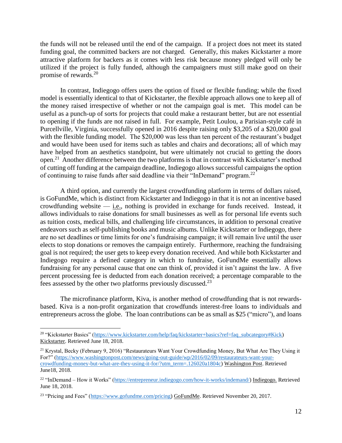the funds will not be released until the end of the campaign. If a project does not meet its stated funding goal, the committed backers are not charged. Generally, this makes Kickstarter a more attractive platform for backers as it comes with less risk because money pledged will only be utilized if the project is fully funded, although the campaigners must still make good on their promise of rewards.<sup>20</sup>

In contrast, Indiegogo offers users the option of fixed or flexible funding; while the fixed model is essentially identical to that of Kickstarter, the flexible approach allows one to keep all of the money raised irrespective of whether or not the campaign goal is met. This model can be useful as a punch-up of sorts for projects that could make a restaurant better, but are not essential to opening if the funds are not raised in full. For example, Petit Loulou, a Parisian-style café in Purcellville, Virginia, successfully opened in 2016 despite raising only \$3,205 of a \$20,000 goal with the flexible funding model. The \$20,000 was less than ten percent of the restaurant's budget and would have been used for items such as tables and chairs and decorations; all of which may have helped from an aesthetics standpoint, but were ultimately not crucial to getting the doors open.<sup>21</sup> Another difference between the two platforms is that in contrast with Kickstarter's method of cutting off funding at the campaign deadline, Indiegogo allows successful campaigns the option of continuing to raise funds after said deadline via their "InDemand" program.<sup>22</sup>

A third option, and currently the largest crowdfunding platform in terms of dollars raised, is GoFundMe, which is distinct from Kickstarter and Indiegogo in that it is not an incentive based crowdfunding website — i.e., nothing is provided in exchange for funds received. Instead, it allows individuals to raise donations for small businesses as well as for personal life events such as tuition costs, medical bills, and challenging life circumstances, in addition to personal creative endeavors such as self-publishing books and music albums. Unlike Kickstarter or Indiegogo, there are no set deadlines or time limits for one's fundraising campaign; it will remain live until the user elects to stop donations or removes the campaign entirely. Furthermore, reaching the fundraising goal is not required; the user gets to keep every donation received. And while both Kickstarter and Indiegogo require a defined category in which to fundraise, GoFundMe essentially allows fundraising for any personal cause that one can think of, provided it isn't against the law. A five percent processing fee is deducted from each donation received; a percentage comparable to the fees assessed by the other two platforms previously discussed.<sup>23</sup>

The microfinance platform, Kiva, is another method of crowdfunding that is not rewardsbased. Kiva is a non-profit organization that crowdfunds interest-free loans to individuals and entrepreneurs across the globe. The loan contributions can be as small as \$25 ("micro"), and loans

<sup>&</sup>lt;sup>20</sup> "Kickstarter Basics" [\(https://www.kickstarter.com/help/faq/kickstarter+basics?ref=faq\\_subcategory#Kick\)](https://www.kickstarter.com/help/faq/kickstarter+basics?ref=faq_subcategory#Kick) Kickstarter. Retrieved June 18, 2018.

<sup>&</sup>lt;sup>21</sup> Krystal, Becky (February 9, 2016) "Restaurateurs Want Your Crowdfunding Money, But What Are They Using it For?" [\(https://www.washingtonpost.com/news/going-out-guide/wp/2016/02/09/restaurateurs-want-your](https://www.washingtonpost.com/news/going-out-guide/wp/2016/02/09/restaurateurs-want-your-crowdfunding-money-but-what-are-they-using-it-for/?utm_term=.126020a1804c)[crowdfunding-money-but-what-are-they-using-it-for/?utm\\_term=.126020a1804c\)](https://www.washingtonpost.com/news/going-out-guide/wp/2016/02/09/restaurateurs-want-your-crowdfunding-money-but-what-are-they-using-it-for/?utm_term=.126020a1804c) Washington Post. Retrieved June18, 2018.

<sup>22</sup> "InDemand – How it Works" [\(https://entrepreneur.indiegogo.com/how-it-works/indemand/\)](https://entrepreneur.indiegogo.com/how-it-works/indemand/) Indiegogo. Retrieved June 18, 2018.

<sup>&</sup>lt;sup>23</sup> "Pricing and Fees" [\(https://www.gofundme.com/pricing\)](https://www.gofundme.com/pricing) GoFundMe. Retrieved November 20, 2017.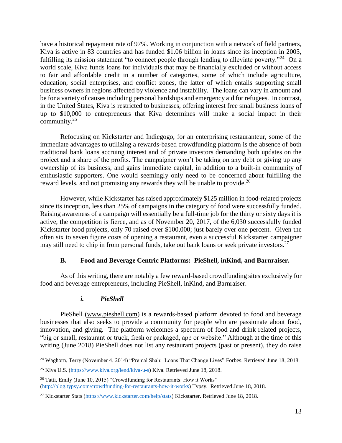have a historical repayment rate of 97%. Working in conjunction with a network of field partners, Kiva is active in 83 countries and has funded \$1.06 billion in loans since its inception in 2005, fulfilling its mission statement "to connect people through lending to alleviate poverty."<sup>24</sup> On a world scale, Kiva funds loans for individuals that may be financially excluded or without access to fair and affordable credit in a number of categories, some of which include agriculture, education, social enterprises, and conflict zones, the latter of which entails supporting small business owners in regions affected by violence and instability. The loans can vary in amount and be for a variety of causes including personal hardships and emergency aid for refugees. In contrast, in the United States, Kiva is restricted to businesses, offering interest free small business loans of up to \$10,000 to entrepreneurs that Kiva determines will make a social impact in their community.<sup>25</sup>

Refocusing on Kickstarter and Indiegogo, for an enterprising restauranteur, some of the immediate advantages to utilizing a rewards-based crowdfunding platform is the absence of both traditional bank loans accruing interest and of private investors demanding both updates on the project and a share of the profits. The campaigner won't be taking on any debt or giving up any ownership of its business, and gains immediate capital, in addition to a built-in community of enthusiastic supporters. One would seemingly only need to be concerned about fulfilling the reward levels, and not promising any rewards they will be unable to provide.<sup>26</sup>

However, while Kickstarter has raised approximately \$125 million in food-related projects since its inception, less than 25% of campaigns in the category of food were successfully funded. Raising awareness of a campaign will essentially be a full-time job for the thirty or sixty days it is active, the competition is fierce, and as of November 20, 2017, of the 6,030 successfully funded Kickstarter food projects, only 70 raised over \$100,000; just barely over one percent. Given the often six to seven figure costs of opening a restaurant, even a successful Kickstarter campaigner may still need to chip in from personal funds, take out bank loans or seek private investors.<sup>27</sup>

## **B. Food and Beverage Centric Platforms: PieShell, inKind, and Barnraiser.**

As of this writing, there are notably a few reward-based crowdfunding sites exclusively for food and beverage entrepreneurs, including PieShell, inKind, and Barnraiser.

# *i. PieShell*

PieShell [\(www.pieshell.com\)](http://www.pieshell.com/) is a rewards-based platform devoted to food and beverage businesses that also seeks to provide a community for people who are passionate about food, innovation, and giving. The platform welcomes a spectrum of food and drink related projects, "big or small, restaurant or truck, fresh or packaged, app or website." Although at the time of this writing (June 2018) PieShell does not list any restaurant projects (past or present), they do raise

 $\overline{a}$ <sup>24</sup> Waghorn, Terry (November 4, 2014) "Premal Shah: Loans That Change Lives" Forbes. Retrieved June 18, 2018.

<sup>25</sup> Kiva U.S. [\(https://www.kiva.org/lend/kiva-u-s\)](https://www.kiva.org/lend/kiva-u-s) Kiva. Retrieved June 18, 2018.

<sup>26</sup> Tatti, Emily (June 10, 2015) "Crowdfunding for Restaurants: How it Works" [\(http://blog.typsy.com/crowdfunding-for-restaurants-how-it-works\)](http://blog.typsy.com/crowdfunding-for-restaurants-how-it-works) Typsy. Retrieved June 18, 2018.

<sup>&</sup>lt;sup>27</sup> Kickstarter Stats [\(https://www.kickstarter.com/help/stats\)](https://www.kickstarter.com/help/stats) Kickstarter. Retrieved June 18, 2018.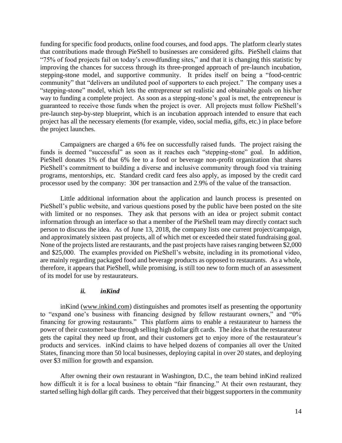funding for specific food products, online food courses, and food apps. The platform clearly states that contributions made through PieShell to businesses are considered gifts. PieShell claims that "75% of food projects fail on today's crowdfunding sites," and that it is changing this statistic by improving the chances for success through its three-pronged approach of pre-launch incubation, stepping-stone model, and supportive community. It prides itself on being a "food-centric community" that "delivers an undiluted pool of supporters to each project." The company uses a "stepping-stone" model, which lets the entrepreneur set realistic and obtainable goals on his/her way to funding a complete project. As soon as a stepping-stone's goal is met, the entrepreneur is guaranteed to receive those funds when the project is over. All projects must follow PieShell's pre-launch step-by-step blueprint, which is an incubation approach intended to ensure that each project has all the necessary elements (for example, video, social media, gifts, etc.) in place before the project launches.

Campaigners are charged a 6% fee on successfully raised funds. The project raising the funds is deemed "successful" as soon as it reaches each "stepping-stone" goal. In addition, PieShell donates 1% of that 6% fee to a food or beverage non-profit organization that shares PieShell's commitment to building a diverse and inclusive community through food via training programs, mentorships, etc. Standard credit card fees also apply, as imposed by the credit card processor used by the company: 30¢ per transaction and 2.9% of the value of the transaction.

Little additional information about the application and launch process is presented on PieShell's public website, and various questions posed by the public have been posted on the site with limited or no responses. They ask that persons with an idea or project submit contact information through an interface so that a member of the PieShell team may directly contact such person to discuss the idea. As of June 13, 2018, the company lists one current project/campaign, and approximately sixteen past projects, all of which met or exceeded their stated fundraising goal. None of the projects listed are restaurants, and the past projects have raises ranging between \$2,000 and \$25,000. The examples provided on PieShell's website, including in its promotional video, are mainly regarding packaged food and beverage products as opposed to restaurants. As a whole, therefore, it appears that PieShell, while promising, is still too new to form much of an assessment of its model for use by restaurateurs.

#### *ii. inKind*

inKind [\(www.inkind.com\)](http://www.inkind.com/) distinguishes and promotes itself as presenting the opportunity to "expand one's business with financing designed by fellow restaurant owners," and "0% financing for growing restaurants." This platform aims to enable a restaurateur to harness the power of their customer base through selling high dollar gift cards. The idea is that the restaurateur gets the capital they need up front, and their customers get to enjoy more of the restaurateur's products and services. inKind claims to have helped dozens of companies all over the United States, financing more than 50 local businesses, deploying capital in over 20 states, and deploying over \$3 million for growth and expansion.

After owning their own restaurant in Washington, D.C., the team behind inKind realized how difficult it is for a local business to obtain "fair financing." At their own restaurant, they started selling high dollar gift cards. They perceived that their biggest supporters in the community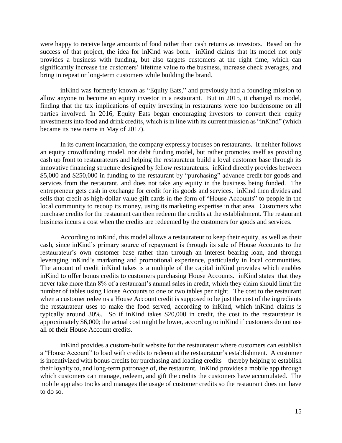were happy to receive large amounts of food rather than cash returns as investors. Based on the success of that project, the idea for inKind was born. inKind claims that its model not only provides a business with funding, but also targets customers at the right time, which can significantly increase the customers' lifetime value to the business, increase check averages, and bring in repeat or long-term customers while building the brand.

inKind was formerly known as "Equity Eats," and previously had a founding mission to allow anyone to become an equity investor in a restaurant. But in 2015, it changed its model, finding that the tax implications of equity investing in restaurants were too burdensome on all parties involved. In 2016, Equity Eats began encouraging investors to convert their equity investments into food and drink credits, which is in line with its current mission as "inKind" (which became its new name in May of 2017).

In its current incarnation, the company expressly focuses on restaurants. It neither follows an equity crowdfunding model, nor debt funding model, but rather promotes itself as providing cash up front to restaurateurs and helping the restaurateur build a loyal customer base through its innovative financing structure designed by fellow restaurateurs. inKind directly provides between \$5,000 and \$250,000 in funding to the restaurant by "purchasing" advance credit for goods and services from the restaurant, and does not take any equity in the business being funded. The entrepreneur gets cash in exchange for credit for its goods and services. inKind then divides and sells that credit as high-dollar value gift cards in the form of "House Accounts" to people in the local community to recoup its money, using its marketing expertise in that area. Customers who purchase credits for the restaurant can then redeem the credits at the establishment. The restaurant business incurs a cost when the credits are redeemed by the customers for goods and services.

According to inKind, this model allows a restaurateur to keep their equity, as well as their cash, since inKind's primary source of repayment is through its sale of House Accounts to the restaurateur's own customer base rather than through an interest bearing loan, and through leveraging inKind's marketing and promotional experience, particularly in local communities. The amount of credit inKind takes is a multiple of the capital inKind provides which enables inKind to offer bonus credits to customers purchasing House Accounts. inKind states that they never take more than 8% of a restaurant's annual sales in credit, which they claim should limit the number of tables using House Accounts to one or two tables per night. The cost to the restaurant when a customer redeems a House Account credit is supposed to be just the cost of the ingredients the restaurateur uses to make the food served, according to inKind, which inKind claims is typically around 30%. So if inKind takes \$20,000 in credit, the cost to the restaurateur is approximately \$6,000; the actual cost might be lower, according to inKind if customers do not use all of their House Account credits.

inKind provides a custom-built website for the restaurateur where customers can establish a "House Account" to load with credits to redeem at the restaurateur's establishment. A customer is incentivized with bonus credits for purchasing and loading credits – thereby helping to establish their loyalty to, and long-term patronage of, the restaurant. inKind provides a mobile app through which customers can manage, redeem, and gift the credits the customers have accumulated. The mobile app also tracks and manages the usage of customer credits so the restaurant does not have to do so.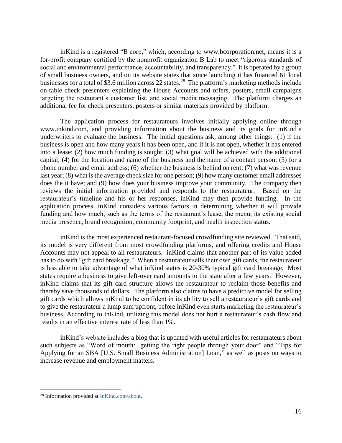inKind is a registered "B corp," which, according to [www.bcorporation.net,](http://www.bcorporation.net/) means it is a for-profit company certified by the nonprofit organization B Lab to meet "rigorous standards of social and environmental performance, accountability, and transparency." It is operated by a group of small business owners, and on its website states that since launching it has financed 61 local businesses for a total of \$3.6 million across 22 states.<sup>28</sup> The platform's marketing methods include on-table check presenters explaining the House Accounts and offers, posters, email campaigns targeting the restaurant's customer list, and social media messaging. The platform charges an additional fee for check presenters, posters or similar materials provided by platform.

The application process for restaurateurs involves initially applying online through www.inkind.com, and providing information about the business and its goals for inKind's underwriters to evaluate the business. The initial questions ask, among other things: (1) if the business is open and how many years it has been open, and if it is not open, whether it has entered into a lease; (2) how much funding is sought; (3) what goal will be achieved with the additional capital; (4) for the location and name of the business and the name of a contact person; (5) for a phone number and email address; (6) whether the business is behind on rent; (7) what was revenue last year; (8) what is the average check size for one person; (9) how many customer email addresses does the it have; and (9) how does your business improve your community. The company then reviews the initial information provided and responds to the restaurateur. Based on the restaurateur's timeline and his or her responses, inKind may then provide funding. In the application process, inKind considers various factors in determining whether it will provide funding and how much, such as the terms of the restaurant's lease, the menu, its existing social media presence, brand recognition, community footprint, and health inspection status.

inKind is the most experienced restaurant-focused crowdfunding site reviewed. That said, its model is very different from most crowdfunding platforms, and offering credits and House Accounts may not appeal to all restaurateurs. inKind claims that another part of its value added has to do with "gift card breakage." When a restaurateur sells their own gift cards, the restaurateur is less able to take advantage of what inKind states is 20-30% typical gift card breakage. Most states require a business to give left-over card amounts to the state after a few years. However, inKind claims that its gift card structure allows the restaurateur to reclaim those benefits and thereby save thousands of dollars. The platform also claims to have a predictive model for selling gift cards which allows inKind to be confident in its ability to sell a restaurateur's gift cards and to give the restaurateur a lump sum upfront, before inKind even starts marketing the restaurateur's business. According to inKind, utilizing this model does not hurt a restaurateur's cash flow and results in an effective interest rate of less than 1%.

inKind's website includes a blog that is updated with useful articles for restaurateurs about such subjects as "Word of mouth: getting the right people through your door" and "Tips for Applying for an SBA [U.S. Small Business Administration] Loan," as well as posts on ways to increase revenue and employment matters.

<sup>&</sup>lt;sup>28</sup> Information provided at **InKind.com/about**.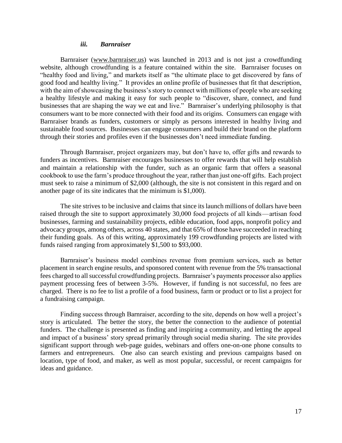#### *iii. Barnraiser*

Barnraiser (www.barnraiser.us) was launched in 2013 and is not just a crowdfunding website, although crowdfunding is a feature contained within the site. Barnraiser focuses on "healthy food and living," and markets itself as "the ultimate place to get discovered by fans of good food and healthy living." It provides an online profile of businesses that fit that description, with the aim of showcasing the business's story to connect with millions of people who are seeking a healthy lifestyle and making it easy for such people to "discover, share, connect, and fund businesses that are shaping the way we eat and live." Barnraiser's underlying philosophy is that consumers want to be more connected with their food and its origins. Consumers can engage with Barnraiser brands as funders, customers or simply as persons interested in healthy living and sustainable food sources. Businesses can engage consumers and build their brand on the platform through their stories and profiles even if the businesses don't need immediate funding.

Through Barnraiser, project organizers may, but don't have to, offer gifts and rewards to funders as incentives. Barnraiser encourages businesses to offer rewards that will help establish and maintain a relationship with the funder, such as an organic farm that offers a seasonal cookbook to use the farm's produce throughout the year, rather than just one-off gifts. Each project must seek to raise a minimum of \$2,000 (although, the site is not consistent in this regard and on another page of its site indicates that the minimum is \$1,000).

The site strives to be inclusive and claims that since its launch millions of dollars have been raised through the site to support approximately 30,000 food projects of all kinds—artisan food businesses, farming and sustainability projects, edible education, food apps, nonprofit policy and advocacy groups, among others, across 40 states, and that 65% of those have succeeded in reaching their funding goals. As of this writing, approximately 199 crowdfunding projects are listed with funds raised ranging from approximately \$1,500 to \$93,000.

Barnraiser's business model combines revenue from premium services, such as better placement in search engine results, and sponsored content with revenue from the 5% transactional fees charged to all successful crowdfunding projects. Barnraiser's payments processor also applies payment processing fees of between 3-5%. However, if funding is not successful, no fees are charged. There is no fee to list a profile of a food business, farm or product or to list a project for a fundraising campaign.

Finding success through Barnraiser, according to the site, depends on how well a project's story is articulated. The better the story, the better the connection to the audience of potential funders. The challenge is presented as finding and inspiring a community, and letting the appeal and impact of a business' story spread primarily through social media sharing. The site provides significant support through web-page guides, webinars and offers one-on-one phone consults to farmers and entrepreneurs. One also can search existing and previous campaigns based on location, type of food, and maker, as well as most popular, successful, or recent campaigns for ideas and guidance.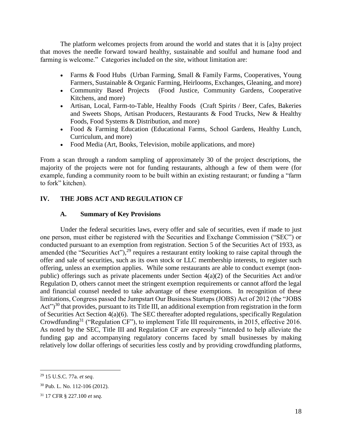The platform welcomes projects from around the world and states that it is [a]ny project that moves the needle forward toward healthy, sustainable and soulful and humane food and farming is welcome." Categories included on the site, without limitation are:

- Farms & Food Hubs (Urban Farming, Small & Family Farms, Cooperatives, Young Farmers, Sustainable & Organic Farming, Heirlooms, Exchanges, Gleaning, and more)
- Community Based Projects (Food Justice, Community Gardens, Cooperative Kitchens, and more)
- Artisan, Local, Farm-to-Table, Healthy Foods (Craft Spirits / Beer, Cafes, Bakeries and Sweets Shops, Artisan Producers, Restaurants & Food Trucks, New & Healthy Foods, Food Systems & Distribution, and more)
- Food & Farming Education (Educational Farms, School Gardens, Healthy Lunch, Curriculum, and more)
- Food Media (Art, Books, Television, mobile applications, and more)

From a scan through a random sampling of approximately 30 of the project descriptions, the majority of the projects were not for funding restaurants, although a few of them were (for example, funding a community room to be built within an existing restaurant; or funding a "farm to fork" kitchen).

# **IV. THE JOBS ACT AND REGULATION CF**

# **A. Summary of Key Provisions**

Under the federal securities laws, every offer and sale of securities, even if made to just one person, must either be registered with the Securities and Exchange Commission ("SEC") or conducted pursuant to an exemption from registration. Section 5 of the Securities Act of 1933, as amended (the "Securities Act"),  $29$  requires a restaurant entity looking to raise capital through the offer and sale of securities, such as its own stock or LLC membership interests, to register such offering, unless an exemption applies. While some restaurants are able to conduct exempt (nonpublic) offerings such as private placements under Section 4(a)(2) of the Securities Act and/or Regulation D, others cannot meet the stringent exemption requirements or cannot afford the legal and financial counsel needed to take advantage of these exemptions. In recognition of these limitations, Congress passed the Jumpstart Our Business Startups (JOBS) Act of 2012 (the "JOBS Act")<sup>30</sup> that provides, pursuant to its Title III, an additional exemption from registration in the form of Securities Act Section 4(a)(6). The SEC thereafter adopted regulations, specifically Regulation Crowdfunding<sup>31</sup> ("Regulation CF"), to implement Title III requirements, in 2015, effective 2016. As noted by the SEC, Title III and Regulation CF are expressly "intended to help alleviate the funding gap and accompanying regulatory concerns faced by small businesses by making relatively low dollar offerings of securities less costly and by providing crowdfunding platforms,

<sup>29</sup> 15 U.S.C. 77a. *et seq*.

<sup>30</sup> Pub. L. No. 112-106 (2012).

<sup>31</sup> 17 CFR § 227.100 *et seq*.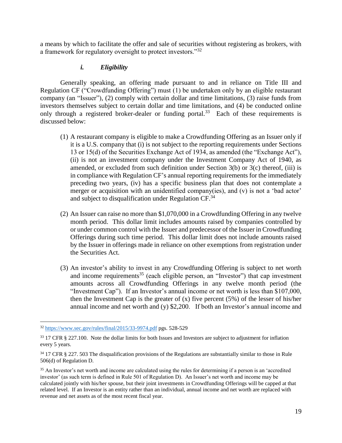a means by which to facilitate the offer and sale of securities without registering as brokers, with a framework for regulatory oversight to protect investors."<sup>32</sup>

## *i. Eligibility*

Generally speaking, an offering made pursuant to and in reliance on Title III and Regulation CF ("Crowdfunding Offering") must (1) be undertaken only by an eligible restaurant company (an "Issuer"), (2) comply with certain dollar and time limitations, (3) raise funds from investors themselves subject to certain dollar and time limitations, and (4) be conducted online only through a registered broker-dealer or funding portal.<sup>33</sup> Each of these requirements is discussed below:

- (1) A restaurant company is eligible to make a Crowdfunding Offering as an Issuer only if it is a U.S. company that (i) is not subject to the reporting requirements under Sections 13 or 15(d) of the Securities Exchange Act of 1934, as amended (the "Exchange Act"), (ii) is not an investment company under the Investment Company Act of 1940, as amended, or excluded from such definition under Section 3(b) or 3(c) thereof, (iii) is in compliance with Regulation CF's annual reporting requirements for the immediately preceding two years, (iv) has a specific business plan that does not contemplate a merger or acquisition with an unidentified company(ies), and (v) is not a 'bad actor' and subject to disqualification under Regulation CF.<sup>34</sup>
- (2) An Issuer can raise no more than \$1,070,000 in a Crowdfunding Offering in any twelve month period. This dollar limit includes amounts raised by companies controlled by or under common control with the Issuer and predecessor of the Issuer in Crowdfunding Offerings during such time period. This dollar limit does not include amounts raised by the Issuer in offerings made in reliance on other exemptions from registration under the Securities Act.
- (3) An investor's ability to invest in any Crowdfunding Offering is subject to net worth and income requirements<sup>35</sup> (each eligible person, an "Investor") that cap investment amounts across all Crowdfunding Offerings in any twelve month period (the "Investment Cap"). If an Investor's annual income or net worth is less than \$107,000, then the Investment Cap is the greater of  $(x)$  five percent  $(5%)$  of the lesser of his/her annual income and net worth and (y) \$2,200. If both an Investor's annual income and

 $32 \frac{\text{https://www.sec.gov/rules/final/2015/33-9974.pdf}}{9 \text{pts}}$  $32 \frac{\text{https://www.sec.gov/rules/final/2015/33-9974.pdf}}{9 \text{pts}}$  $32 \frac{\text{https://www.sec.gov/rules/final/2015/33-9974.pdf}}{9 \text{pts}}$  pgs. 528-529

<sup>&</sup>lt;sup>33</sup> 17 CFR § 227.100. Note the dollar limits for both Issues and Investors are subject to adjustment for inflation every 5 years.

<sup>&</sup>lt;sup>34</sup> 17 CFR § 227. 503 The disqualification provisions of the Regulations are substantially similar to those in Rule 506(d) of Regulation D.

<sup>&</sup>lt;sup>35</sup> An Investor's net worth and income are calculated using the rules for determining if a person is an 'accredited investor' (as such term is defined in Rule 501 of Regulation D). An Issuer's net worth and income may be calculated jointly with his/her spouse, but their joint investments in Crowdfunding Offerings will be capped at that related level. If an Investor is an entity rather than an individual, annual income and net worth are replaced with revenue and net assets as of the most recent fiscal year.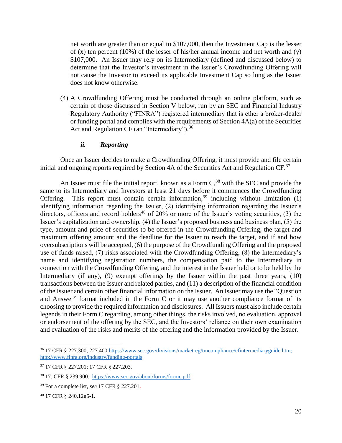net worth are greater than or equal to \$107,000, then the Investment Cap is the lesser of  $(x)$  ten percent (10%) of the lesser of his/her annual income and net worth and  $(y)$ \$107,000. An Issuer may rely on its Intermediary (defined and discussed below) to determine that the Investor's investment in the Issuer's Crowdfunding Offering will not cause the Investor to exceed its applicable Investment Cap so long as the Issuer does not know otherwise.

(4) A Crowdfunding Offering must be conducted through an online platform, such as certain of those discussed in Section V below, run by an SEC and Financial Industry Regulatory Authority ("FINRA") registered intermediary that is ether a broker-dealer or funding portal and complies with the requirements of Section 4A(a) of the Securities Act and Regulation CF (an "Intermediary").<sup>36</sup>

### *ii. Reporting*

Once an Issuer decides to make a Crowdfunding Offering, it must provide and file certain initial and ongoing reports required by Section 4A of the Securities Act and Regulation  $CF^{37}$ 

An Issuer must file the initial report, known as a Form  $C<sup>38</sup>$ , with the SEC and provide the same to its Intermediary and Investors at least 21 days before it commences the Crowdfunding Offering. This report must contain certain information,<sup>39</sup> including without limitation (1) identifying information regarding the Issuer, (2) identifying information regarding the Issuer's directors, officers and record holders<sup>40</sup> of  $20\%$  or more of the Issuer's voting securities, (3) the Issuer's capitalization and ownership, (4) the Issuer's proposed business and business plan, (5) the type, amount and price of securities to be offered in the Crowdfunding Offering, the target and maximum offering amount and the deadline for the Issuer to reach the target, and if and how oversubscriptions will be accepted, (6) the purpose of the Crowdfunding Offering and the proposed use of funds raised, (7) risks associated with the Crowdfunding Offering, (8) the Intermediary's name and identifying registration numbers, the compensation paid to the Intermediary in connection with the Crowdfunding Offering, and the interest in the Issuer held or to be held by the Intermediary (if any), (9) exempt offerings by the Issuer within the past three years, (10) transactions between the Issuer and related parties, and (11) a description of the financial condition of the Issuer and certain other financial information on the Issuer. An Issuer may use the "Question and Answer" format included in the Form C or it may use another compliance format of its choosing to provide the required information and disclosures. All Issuers must also include certain legends in their Form C regarding, among other things, the risks involved, no evaluation, approval or endorsement of the offering by the SEC, and the Investors' reliance on their own examination and evaluation of the risks and merits of the offering and the information provided by the Issuer.

<sup>36</sup> 17 CFR § 227.300, 227.400 [https://www.sec.gov/divisions/marketreg/tmcompliance/cfintermediaryguide.htm;](https://www.sec.gov/divisions/marketreg/tmcompliance/cfintermediaryguide.htm) <http://www.finra.org/industry/funding-portals>

<sup>37</sup> 17 CFR § 227.201; 17 CFR § 227.203.

<sup>38</sup> 17. CFR § 239.900. <https://www.sec.gov/about/forms/formc.pdf>

<sup>39</sup> For a complete list, *see* 17 CFR § 227.201.

<sup>40</sup> 17 CFR § 240.12g5-1.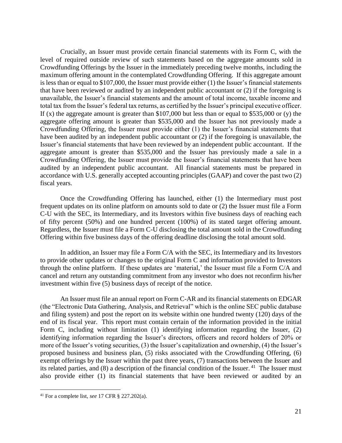Crucially, an Issuer must provide certain financial statements with its Form C, with the level of required outside review of such statements based on the aggregate amounts sold in Crowdfunding Offerings by the Issuer in the immediately preceding twelve months, including the maximum offering amount in the contemplated Crowdfunding Offering. If this aggregate amount is less than or equal to \$107,000, the Issuer must provide either (1) the Issuer's financial statements that have been reviewed or audited by an independent public accountant or (2) if the foregoing is unavailable, the Issuer's financial statements and the amount of total income, taxable income and total tax from the Issuer's federal tax returns, as certified by the Issuer's principal executive officer. If  $(x)$  the aggregate amount is greater than \$107,000 but less than or equal to \$535,000 or  $(y)$  the aggregate offering amount is greater than \$535,000 and the Issuer has not previously made a Crowdfunding Offering, the Issuer must provide either (1) the Issuer's financial statements that have been audited by an independent public accountant or (2) if the foregoing is unavailable, the Issuer's financial statements that have been reviewed by an independent public accountant. If the aggregate amount is greater than \$535,000 and the Issuer has previously made a sale in a Crowdfunding Offering, the Issuer must provide the Issuer's financial statements that have been audited by an independent public accountant. All financial statements must be prepared in accordance with U.S. generally accepted accounting principles (GAAP) and cover the past two (2) fiscal years.

Once the Crowdfunding Offering has launched, either (1) the Intermediary must post frequent updates on its online platform on amounts sold to date or (2) the Issuer must file a Form C-U with the SEC, its Intermediary, and its Investors within five business days of reaching each of fifty percent (50%) and one hundred percent (100%) of its stated target offering amount. Regardless, the Issuer must file a Form C-U disclosing the total amount sold in the Crowdfunding Offering within five business days of the offering deadline disclosing the total amount sold.

In addition, an Issuer may file a Form C/A with the SEC, its Intermediary and its Investors to provide other updates or changes to the original Form C and information provided to Investors through the online platform. If these updates are 'material,' the Issuer must file a Form C/A and cancel and return any outstanding commitment from any investor who does not reconfirm his/her investment within five (5) business days of receipt of the notice.

An Issuer must file an annual report on Form C-AR and its financial statements on EDGAR (the "Electronic Data Gathering, Analysis, and Retrieval" which is the online SEC public database and filing system) and post the report on its website within one hundred twenty (120) days of the end of its fiscal year. This report must contain certain of the information provided in the initial Form C, including without limitation (1) identifying information regarding the Issuer, (2) identifying information regarding the Issuer's directors, officers and record holders of 20% or more of the Issuer's voting securities, (3) the Issuer's capitalization and ownership, (4) the Issuer's proposed business and business plan, (5) risks associated with the Crowdfunding Offering, (6) exempt offerings by the Issuer within the past three years, (7) transactions between the Issuer and its related parties, and  $(8)$  a description of the financial condition of the Issuer.<sup>41</sup> The Issuer must also provide either (1) its financial statements that have been reviewed or audited by an

<sup>41</sup> For a complete list, *see* 17 CFR § 227.202(a).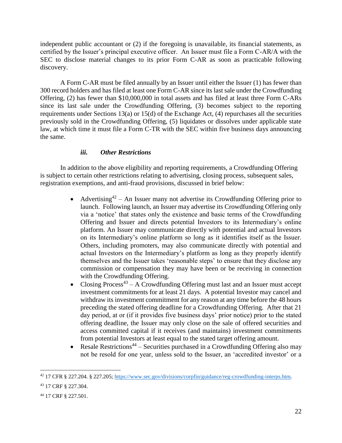independent public accountant or (2) if the foregoing is unavailable, its financial statements, as certified by the Issuer's principal executive officer. An Issuer must file a Form C-AR/A with the SEC to disclose material changes to its prior Form C-AR as soon as practicable following discovery.

A Form C-AR must be filed annually by an Issuer until either the Issuer (1) has fewer than 300 record holders and has filed at least one Form C-AR since its last sale under the Crowdfunding Offering, (2) has fewer than \$10,000,000 in total assets and has filed at least three Form C-ARs since its last sale under the Crowdfunding Offering, (3) becomes subject to the reporting requirements under Sections 13(a) or 15(d) of the Exchange Act, (4) repurchases all the securities previously sold in the Crowdfunding Offering, (5) liquidates or dissolves under applicable state law, at which time it must file a Form C-TR with the SEC within five business days announcing the same.

## *iii. Other Restrictions*

In addition to the above eligibility and reporting requirements, a Crowdfunding Offering is subject to certain other restrictions relating to advertising, closing process, subsequent sales, registration exemptions, and anti-fraud provisions, discussed in brief below:

- Advertising<sup>42</sup> An Issuer many not advertise its Crowdfunding Offering prior to launch. Following launch, an Issuer may advertise its Crowdfunding Offering only via a 'notice' that states only the existence and basic terms of the Crowdfunding Offering and Issuer and directs potential Investors to its Intermediary's online platform. An Issuer may communicate directly with potential and actual Investors on its Intermediary's online platform so long as it identifies itself as the Issuer. Others, including promoters, may also communicate directly with potential and actual Investors on the Intermediary's platform as long as they properly identify themselves and the Issuer takes 'reasonable steps' to ensure that they disclose any commission or compensation they may have been or be receiving in connection with the Crowdfunding Offering.
- Closing Process<sup>43</sup> A Crowdfunding Offering must last and an Issuer must accept investment commitments for at least 21 days. A potential Investor may cancel and withdraw its investment commitment for any reason at any time before the 48 hours preceding the stated offering deadline for a Crowdfunding Offering. After that 21 day period, at or (if it provides five business days' prior notice) prior to the stated offering deadline, the Issuer may only close on the sale of offered securities and access committed capital if it receives (and maintains) investment commitments from potential Investors at least equal to the stated target offering amount.
- Resale Restrictions<sup>44</sup> Securities purchased in a Crowdfunding Offering also may not be resold for one year, unless sold to the Issuer, an 'accredited investor' or a

<sup>42</sup> 17 CFR § 227.204. § 227.205; [https://www.sec.gov/divisions/corpfin/guidance/reg-crowdfunding-interps.htm.](https://www.sec.gov/divisions/corpfin/guidance/reg-crowdfunding-interps.htm) 

<sup>43</sup> 17 CRF § 227.304.

<sup>44</sup> 17 CRF § 227.501.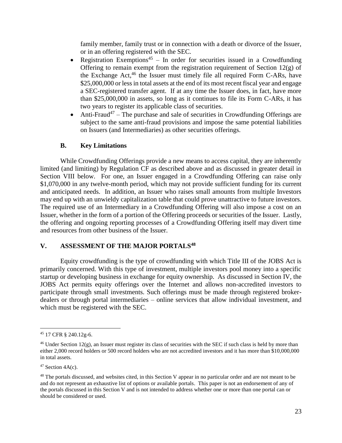family member, family trust or in connection with a death or divorce of the Issuer, or in an offering registered with the SEC.

- Registration Exemptions<sup>45</sup> In order for securities issued in a Crowdfunding Offering to remain exempt from the registration requirement of Section 12(g) of the Exchange Act, <sup>46</sup> the Issuer must timely file all required Form C-ARs, have \$25,000,000 or less in total assets at the end of its most recent fiscal year and engage a SEC-registered transfer agent. If at any time the Issuer does, in fact, have more than \$25,000,000 in assets, so long as it continues to file its Form C-ARs, it has two years to register its applicable class of securities.
- Anti-Fraud<sup>47</sup> The purchase and sale of securities in Crowdfunding Offerings are subject to the same anti-fraud provisions and impose the same potential liabilities on Issuers (and Intermediaries) as other securities offerings.

#### **B. Key Limitations**

While Crowdfunding Offerings provide a new means to access capital, they are inherently limited (and limiting) by Regulation CF as described above and as discussed in greater detail in Section VIII below. For one, an Issuer engaged in a Crowdfunding Offering can raise only \$1,070,000 in any twelve-month period, which may not provide sufficient funding for its current and anticipated needs. In addition, an Issuer who raises small amounts from multiple Investors may end up with an unwieldy capitalization table that could prove unattractive to future investors. The required use of an Intermediary in a Crowdfunding Offering will also impose a cost on an Issuer, whether in the form of a portion of the Offering proceeds or securities of the Issuer. Lastly, the offering and ongoing reporting processes of a Crowdfunding Offering itself may divert time and resources from other business of the Issuer.

#### **V. ASSESSMENT OF THE MAJOR PORTALS<sup>48</sup>**

Equity crowdfunding is the type of crowdfunding with which Title III of the JOBS Act is primarily concerned. With this type of investment, multiple investors pool money into a specific startup or developing business in exchange for equity ownership. As discussed in Section IV, the JOBS Act permits equity offerings over the Internet and allows non-accredited investors to participate through small investments. Such offerings must be made through registered brokerdealers or through portal intermediaries – online services that allow individual investment, and which must be registered with the SEC.

<sup>45</sup> 17 CFR § 240.12g-6.

 $46$  Under Section 12(g), an Issuer must register its class of securities with the SEC if such class is held by more than either 2,000 record holders or 500 record holders who are not accredited investors and it has more than \$10,000,000 in total assets.

 $47$  Section  $4A(c)$ .

<sup>&</sup>lt;sup>48</sup> The portals discussed, and websites cited, in this Section V appear in no particular order and are not meant to be and do not represent an exhaustive list of options or available portals. This paper is not an endorsement of any of the portals discussed in this Section V and is not intended to address whether one or more than one portal can or should be considered or used.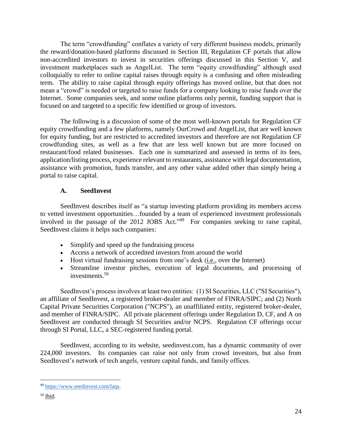The term "crowdfunding" conflates a variety of very different business models, primarily the reward/donation-based platforms discussed in Section III, Regulation CF portals that allow non-accredited investors to invest in securities offerings discussed in this Section V, and investment marketplaces such as AngelList. The term "equity crowdfunding" although used colloquially to refer to online capital raises through equity is a confusing and often misleading term. The ability to raise capital through equity offerings has moved online, but that does not mean a "crowd" is needed or targeted to raise funds for a company looking to raise funds over the Internet. Some companies seek, and some online platforms only permit, funding support that is focused on and targeted to a specific few identified or group of investors.

The following is a discussion of some of the most well-known portals for Regulation CF equity crowdfunding and a few platforms, namely OurCrowd and AngelList, that are well known for equity funding, but are restricted to accredited investors and therefore are not Regulation CF crowdfunding sites, as well as a few that are less well known but are more focused on restaurant/food related businesses. Each one is summarized and assessed in terms of its fees, application/listing process, experience relevant to restaurants, assistance with legal documentation, assistance with promotion, funds transfer, and any other value added other than simply being a portal to raise capital.

## **A. SeedInvest**

SeedInvest describes itself as "a startup investing platform providing its members access to vetted investment opportunities…founded by a team of experienced investment professionals involved in the passage of the 2012 JOBS Act." 49 For companies seeking to raise capital, SeedInvest claims it helps such companies:

- Simplify and speed up the fundraising process
- Access a network of accredited investors from around the world
- Host virtual fundraising sessions from one's desk (i.e., over the Internet)
- Streamline investor pitches, execution of legal documents, and processing of investments. 50

SeedInvest's process involves at least two entities: (1) SI Securities, LLC ("SI Securities"), an affiliate of SeedInvest, a registered broker-dealer and member of FINRA/SIPC; and (2) North Capital Private Securities Corporation ("NCPS"), an unaffiliated entity, registered broker-dealer, and member of FINRA/SIPC. All private placement offerings under Regulation D, CF, and A on SeedInvest are conducted through SI Securities and/or NCPS. Regulation CF offerings occur through SI Portal, LLC, a SEC-registered funding portal.

SeedInvest, according to its website, seedinvest.com, has a dynamic community of over 224,000 investors. Its companies can raise not only from crowd investors, but also from SeedInvest's network of tech angels, venture capital funds, and family offices.

 $\overline{a}$ <sup>49</sup> [https://www.seedinvest.com/faqs.](https://www.seedinvest.com/faqs)

<sup>50</sup> Ibid.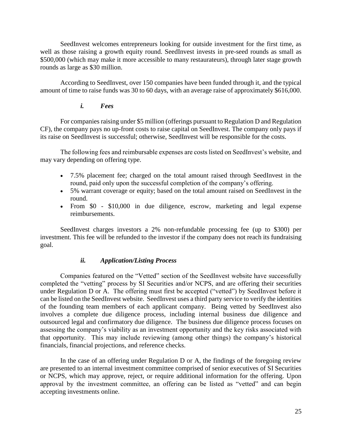SeedInvest welcomes entrepreneurs looking for outside investment for the first time, as well as those raising a growth equity round. SeedInvest invests in pre-seed rounds as small as \$500,000 (which may make it more accessible to many restaurateurs), through later stage growth rounds as large as \$30 million.

According to SeedInvest, over 150 companies have been funded through it, and the typical amount of time to raise funds was 30 to 60 days, with an average raise of approximately \$616,000.

## *i. Fees*

For companies raising under \$5 million (offerings pursuant to Regulation D and Regulation CF), the company pays no up-front costs to raise capital on SeedInvest. The company only pays if its raise on SeedInvest is successful; otherwise, SeedInvest will be responsible for the costs.

The following fees and reimbursable expenses are costs listed on SeedInvest's website, and may vary depending on offering type.

- 7.5% placement fee; charged on the total amount raised through SeedInvest in the round, paid only upon the successful completion of the company's offering.
- 5% warrant coverage or equity; based on the total amount raised on SeedInvest in the round.
- From \$0 \$10,000 in due diligence, escrow, marketing and legal expense reimbursements.

SeedInvest charges investors a 2% non-refundable processing fee (up to \$300) per investment. This fee will be refunded to the investor if the company does not reach its fundraising goal.

#### *ii. Application/Listing Process*

Companies featured on the "Vetted" section of the SeedInvest website have successfully completed the "vetting" process by SI Securities and/or NCPS, and are offering their securities under Regulation D or A. The offering must first be accepted ("vetted") by SeedInvest before it can be listed on the SeedInvest website. SeedInvest uses a third party service to verify the identities of the founding team members of each applicant company. Being vetted by SeedInvest also involves a complete due diligence process, including internal business due diligence and outsourced legal and confirmatory due diligence. The business due diligence process focuses on assessing the company's viability as an investment opportunity and the key risks associated with that opportunity. This may include reviewing (among other things) the company's historical financials, financial projections, and reference checks.

In the case of an offering under Regulation D or A, the findings of the foregoing review are presented to an internal investment committee comprised of senior executives of SI Securities or NCPS, which may approve, reject, or require additional information for the offering. Upon approval by the investment committee, an offering can be listed as "vetted" and can begin accepting investments online.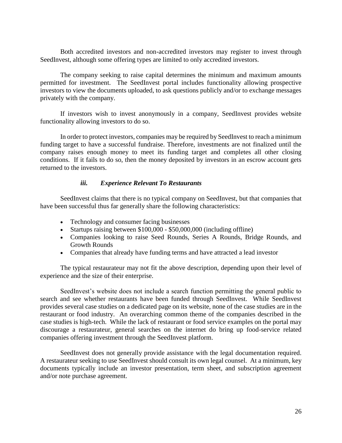Both accredited investors and non-accredited investors may register to invest through SeedInvest, although some offering types are limited to only accredited investors.

The company seeking to raise capital determines the minimum and maximum amounts permitted for investment. The SeedInvest portal includes functionality allowing prospective investors to view the documents uploaded, to ask questions publicly and/or to exchange messages privately with the company.

If investors wish to invest anonymously in a company, SeedInvest provides website functionality allowing investors to do so.

In order to protect investors, companies may be required by SeedInvest to reach a minimum funding target to have a successful fundraise. Therefore, investments are not finalized until the company raises enough money to meet its funding target and completes all other closing conditions. If it fails to do so, then the money deposited by investors in an escrow account gets returned to the investors.

#### *iii. Experience Relevant To Restaurants*

SeedInvest claims that there is no typical company on SeedInvest, but that companies that have been successful thus far generally share the following characteristics:

- Technology and consumer facing businesses
- Startups raising between \$100,000 \$50,000,000 (including offline)
- Companies looking to raise Seed Rounds, Series A Rounds, Bridge Rounds, and Growth Rounds
- Companies that already have funding terms and have attracted a lead investor

The typical restaurateur may not fit the above description, depending upon their level of experience and the size of their enterprise.

SeedInvest's website does not include a search function permitting the general public to search and see whether restaurants have been funded through SeedInvest. While SeedInvest provides several case studies on a dedicated page on its website, none of the case studies are in the restaurant or food industry. An overarching common theme of the companies described in the case studies is high-tech. While the lack of restaurant or food service examples on the portal may discourage a restaurateur, general searches on the internet do bring up food-service related companies offering investment through the SeedInvest platform.

SeedInvest does not generally provide assistance with the legal documentation required. A restaurateur seeking to use SeedInvest should consult its own legal counsel. At a minimum, key documents typically include an investor presentation, term sheet, and subscription agreement and/or note purchase agreement.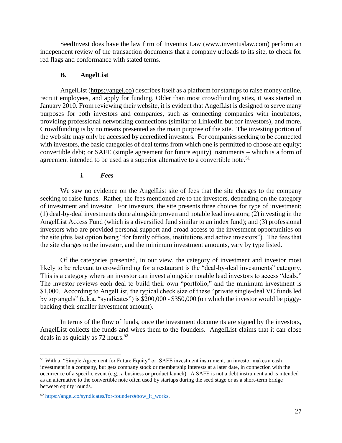SeedInvest does have the law firm of Inventus Law [\(www.inventuslaw.com\)](http://www.inventuslaw.com/) perform an independent review of the transaction documents that a company uploads to its site, to check for red flags and conformance with stated terms.

### **B. AngelList**

AngelList [\(https://angel.co\)](https://angel.co/) describes itself as a platform for startups to raise money online, recruit employees, and apply for funding. Older than most crowdfunding sites, it was started in January 2010. From reviewing their website, it is evident that AngelList is designed to serve many purposes for both investors and companies, such as connecting companies with incubators, providing professional networking connections (similar to LinkedIn but for investors), and more. Crowdfunding is by no means presented as the main purpose of the site. The investing portion of the web site may only be accessed by accredited investors. For companies seeking to be connected with investors, the basic categories of deal terms from which one is permitted to choose are equity; convertible debt; or SAFE (simple agreement for future equity) instruments – which is a form of agreement intended to be used as a superior alternative to a convertible note.<sup>51</sup>

## *i. Fees*

We saw no evidence on the AngelList site of fees that the site charges to the company seeking to raise funds. Rather, the fees mentioned are to the investors, depending on the category of investment and investor. For investors, the site presents three choices for type of investment: (1) deal-by-deal investments done alongside proven and notable lead investors; (2) investing in the AngelList Access Fund (which is a diversified fund similar to an index fund); and (3) professional investors who are provided personal support and broad access to the investment opportunities on the site (this last option being "for family offices, institutions and active investors"). The fees that the site charges to the investor, and the minimum investment amounts, vary by type listed.

Of the categories presented, in our view, the category of investment and investor most likely to be relevant to crowdfunding for a restaurant is the "deal-by-deal investments" category. This is a category where an investor can invest alongside notable lead investors to access "deals." The investor reviews each deal to build their own "portfolio," and the minimum investment is \$1,000. According to AngelList, the typical check size of these "private single-deal VC funds led by top angels" (a.k.a. "syndicates") is \$200,000 - \$350,000 (on which the investor would be piggybacking their smaller investment amount).

In terms of the flow of funds, once the investment documents are signed by the investors, AngelList collects the funds and wires them to the founders. AngelList claims that it can close deals in as quickly as  $72$  hours.<sup>52</sup>

<sup>51</sup> With a "Simple Agreement for Future Equity" or SAFE investment instrument, an investor makes a cash investment in a company, but gets company stock or membership interests at a later date, in connection with the occurrence of a specific event (e.g., a business or product launch). A SAFE is not a debt instrument and is intended as an alternative to the convertible note often used by startups during the seed stage or as a short-term bridge between equity rounds.

<sup>52</sup> https://angel.co/syndicates/for-founders#how it\_works.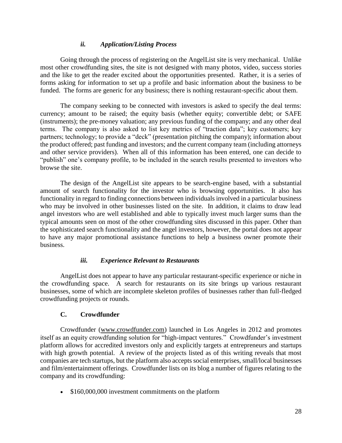## *ii. Application/Listing Process*

Going through the process of registering on the AngelList site is very mechanical. Unlike most other crowdfunding sites, the site is not designed with many photos, video, success stories and the like to get the reader excited about the opportunities presented. Rather, it is a series of forms asking for information to set up a profile and basic information about the business to be funded. The forms are generic for any business; there is nothing restaurant-specific about them.

The company seeking to be connected with investors is asked to specify the deal terms: currency; amount to be raised; the equity basis (whether equity; convertible debt; or SAFE (instruments); the pre-money valuation; any previous funding of the company; and any other deal terms. The company is also asked to list key metrics of "traction data"; key customers; key partners; technology; to provide a "deck" (presentation pitching the company); information about the product offered; past funding and investors; and the current company team (including attorneys and other service providers). When all of this information has been entered, one can decide to "publish" one's company profile, to be included in the search results presented to investors who browse the site.

The design of the AngelList site appears to be search-engine based, with a substantial amount of search functionality for the investor who is browsing opportunities. It also has functionality in regard to finding connections between individuals involved in a particular business who may be involved in other businesses listed on the site. In addition, it claims to draw lead angel investors who are well established and able to typically invest much larger sums than the typical amounts seen on most of the other crowdfunding sites discussed in this paper. Other than the sophisticated search functionality and the angel investors, however, the portal does not appear to have any major promotional assistance functions to help a business owner promote their business.

#### *iii. Experience Relevant to Restaurants*

AngelList does not appear to have any particular restaurant-specific experience or niche in the crowdfunding space. A search for restaurants on its site brings up various restaurant businesses, some of which are incomplete skeleton profiles of businesses rather than full-fledged crowdfunding projects or rounds.

## **C. Crowdfunder**

Crowdfunder [\(www.crowdfunder.com\)](http://www.crowdfunder.com/) launched in Los Angeles in 2012 and promotes itself as an equity crowdfunding solution for ["high-impact ventures.](https://blog.crowdfunder.com/about-crowdfunder/)" Crowdfunder's investment platform allows for accredited investors only and explicitly targets at entrepreneurs and startups with high growth potential. A review of the projects listed as of this writing reveals that most companies are tech startups, but the platform also accepts social enterprises, small/local businesses and film/entertainment offerings. Crowdfunder lists on its blog a number of figures relating to the company and its crowdfunding:

• \$160,000,000 investment commitments on the platform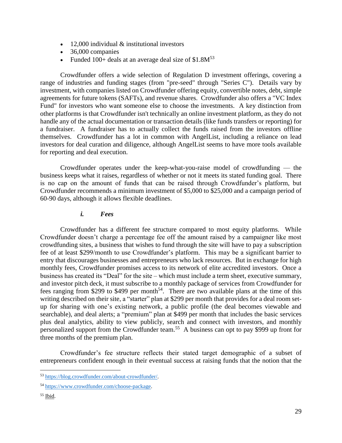- 12,000 individual & institutional investors
- 36,000 companies
- Funded 100+ deals at an average deal size of  $$1.8M^{53}$

Crowdfunder offers a wide selection of Regulation D investment offerings, covering a range of industries and funding stages (from "pre-seed" through "Series C"). Details vary by investment, with companies listed on Crowdfunder offering equity, convertible notes, debt, simple agreements for future tokens (SAFTs), and revenue shares. Crowdfunder also offers a "VC Index Fund" for investors who want someone else to choose the investments. A key distinction from other platforms is that Crowdfunder isn't technically an online investment platform, as they do not handle any of the actual documentation or transaction details (like funds transfers or reporting) for a fundraiser. A fundraiser has to actually collect the funds raised from the investors offline themselves. Crowdfunder has a lot in common with AngelList, including a reliance on lead investors for deal curation and diligence, although AngelList seems to have more tools available for reporting and deal execution.

Crowdfunder operates under the keep-what-you-raise model of crowdfunding — the business keeps what it raises, regardless of whether or not it meets its stated funding goal. There is no cap on the amount of funds that can be raised through Crowdfunder's platform, but Crowdfunder recommends a minimum investment of \$5,000 to \$25,000 and a campaign period of 60-90 days, although it allows flexible deadlines.

#### *i. Fees*

Crowdfunder has a different fee structure compared to most equity platforms. While Crowdfunder doesn't charge a percentage fee off the amount raised by a campaigner like most crowdfunding sites, a business that wishes to fund through the site will have to pay a subscription fee of at least \$299/month to use Crowdfunder's platform. This may be a significant barrier to entry that discourages businesses and entrepreneurs who lack resources. But in exchange for high monthly fees, Crowdfunder promises access to its network of elite accredited investors. Once a business has created its "Deal" for the site – which must include a term sheet, executive summary, and investor pitch deck, it must subscribe to a monthly package of services from Crowdfunder for fees ranging from \$299 to \$499 per month<sup>54</sup>. There are two available plans at the time of this writing described on their site, a "starter" plan at \$299 per month that provides for a deal room setup for sharing with one's existing network, a public profile (the deal becomes viewable and searchable), and deal alerts; a "premium" plan at \$499 per month that includes the basic services plus deal analytics, ability to view publicly, search and connect with investors, and monthly personalized support from the Crowdfunder team.<sup>55</sup> A business can opt to pay \$999 up front for three months of the premium plan.

Crowdfunder's fee structure reflects their stated target demographic of a subset of entrepreneurs confident enough in their eventual success at raising funds that the notion that the

<sup>53</sup> [https://blog.crowdfunder.com/about-crowdfunder/.](https://blog.crowdfunder.com/about-crowdfunder/)

<sup>54</sup> [https://www.crowdfunder.com/choose-package.](https://www.crowdfunder.com/choose-package)

<sup>55</sup> Ibid.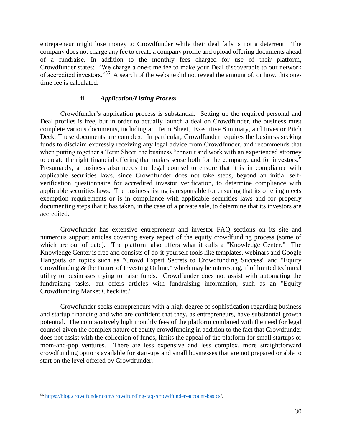entrepreneur might lose money to Crowdfunder while their deal fails is not a deterrent. The company does not charge any fee to create a company profile and upload offering documents ahead of a fundraise. In addition to the monthly fees charged for use of their platform, Crowdfunder [states:](https://blog.crowdfunder.com/crowdfunding-faqs/crowdfunder-account-basics/) "We charge a one-time fee to make your Deal discoverable to our network of accredited investors."<sup>56</sup> A search of the website did not reveal the amount of, or how, this onetime fee is calculated.

## **ii.** *Application/Listing Process*

Crowdfunder's application process is substantial. Setting up the required personal and Deal profiles is free, but in order to actually launch a deal on Crowdfunder, the business must complete various documents, including a: Term Sheet, Executive Summary, and Investor Pitch Deck. These documents are complex. In particular, Crowdfunder requires the business seeking funds to disclaim expressly receiving any legal advice from Crowdfunder, and recommends that when putting together a Term Sheet, the business "consult and work with an experienced attorney to create the right financial offering that makes sense both for the company, and for investors." Presumably, a business also needs the legal counsel to ensure that it is in compliance with applicable securities laws, since Crowdfunder does not take steps, beyond an initial selfverification questionnaire for accredited investor verification, to determine compliance with applicable securities laws. The business listing is responsible for ensuring that its offering meets exemption requirements or is in compliance with applicable securities laws and for properly documenting steps that it has taken, in the case of a private sale, to determine that its investors are accredited.

Crowdfunder has extensive entrepreneur and investor FAQ sections on its site and numerous support articles covering every aspect of the equity crowdfunding process (some of which are out of date). The platform also offers what it calls a "Knowledge Center." The Knowledge Center is free and consists of do-it-yourself tools like templates, webinars and Google Hangouts on topics such as "Crowd Expert Secrets to Crowdfunding Success" and "Equity Crowdfunding & the Future of Investing Online," which may be interesting, if of limited technical utility to businesses trying to raise funds. Crowdfunder does not assist with automating the fundraising tasks, but offers articles with fundraising information, such as an "Equity Crowdfunding Market Checklist."

Crowdfunder seeks entrepreneurs with a high degree of sophistication regarding business and startup financing and who are confident that they, as entrepreneurs, have substantial growth potential. The comparatively high monthly fees of the platform combined with the need for legal counsel given the complex nature of equity crowdfunding in addition to the fact that Crowdfunder does not assist with the collection of funds, limits the appeal of the platform for small startups or mom-and-pop ventures. There are less expensive and less complex, more straightforward crowdfunding options available for start-ups and small businesses that are not prepared or able to start on the level offered by Crowdfunder.

 $\overline{a}$ <sup>56</sup> https://blog.crowdfunder.com/crowdfunding-faqs/crowdfunder-account-basics/.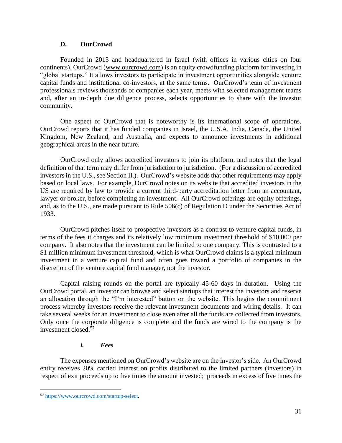### **D. OurCrowd**

Founded in 2013 and headquartered in Israel (with offices in various cities on four continents), OurCrowd [\(www.ourcrowd.com\)](http://www.ourcrowd.com/) is an equity crowdfunding platform for investing in "global startups." It allows investors to participate in investment opportunities alongside venture capital funds and institutional co-investors, at the same terms. OurCrowd's team of investment professionals reviews thousands of companies each year, meets with selected management teams and, after an in-depth due diligence process, selects opportunities to share with the investor community.

One aspect of OurCrowd that is noteworthy is its international scope of operations. OurCrowd reports that it has funded companies in Israel, the U.S.A, India, Canada, the United Kingdom, New Zealand, and Australia, and expects to announce investments in additional geographical areas in the near future.

OurCrowd only allows accredited investors to join its platform, and notes that the legal definition of that term may differ from jurisdiction to jurisdiction. (For a discussion of accredited investors in the U.S., see Section II.). OurCrowd's website adds that other requirements may apply based on local laws. For example, OurCrowd notes on its website that accredited investors in the US are required by law to provide a current third-party accreditation letter from an accountant, lawyer or broker, before completing an investment. All OurCrowd offerings are equity offerings, and, as to the U.S., are made pursuant to Rule 506(c) of Regulation D under the Securities Act of 1933.

OurCrowd pitches itself to prospective investors as a contrast to venture capital funds, in terms of the fees it charges and its relatively low minimum investment threshold of \$10,000 per company. It also notes that the investment can be limited to one company. This is contrasted to a \$1 million minimum investment threshold, which is what OurCrowd claims is a typical minimum investment in a venture capital fund and often goes toward a portfolio of companies in the discretion of the venture capital fund manager, not the investor.

Capital raising rounds on the portal are typically 45-60 days in duration. Using the OurCrowd portal, an investor can browse and select startups that interest the investors and reserve an allocation through the "I'm interested" button on the website. This begins the commitment process whereby investors receive the relevant investment documents and wiring details. It can take several weeks for an investment to close even after all the funds are collected from investors. Only once the corporate diligence is complete and the funds are wired to the company is the investment closed $\frac{57}{ }$ 

## *i. Fees*

The expenses mentioned on OurCrowd's website are on the investor's side. An OurCrowd entity receives 20% carried interest on profits distributed to the limited partners (investors) in respect of exit proceeds up to five times the amount invested; proceeds in excess of five times the

<sup>57</sup> [https://www.ourcrowd.com/startup-select.](https://www.ourcrowd.com/startup-select)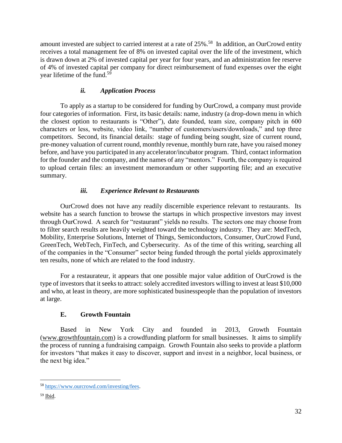amount invested are subject to carried interest at a rate of 25%.<sup>58</sup> In addition, an OurCrowd entity receives a total management fee of 8% on invested capital over the life of the investment, which is drawn down at 2% of invested capital per year for four years, and an administration fee reserve of 4% of invested capital per company for direct reimbursement of fund expenses over the eight year lifetime of the fund.<sup>59</sup>

# *ii. Application Process*

To apply as a startup to be considered for funding by OurCrowd, a company must provide four categories of information. First, its basic details: name, industry (a drop-down menu in which the closest option to restaurants is "Other"), date founded, team size, company pitch in 600 characters or less, website, video link, "number of customers/users/downloads," and top three competitors. Second, its financial details: stage of funding being sought, size of current round, pre-money valuation of current round, monthly revenue, monthly burn rate, have you raised money before, and have you participated in any accelerator/incubator program. Third, contact information for the founder and the company, and the names of any "mentors." Fourth, the company is required to upload certain files: an investment memorandum or other supporting file; and an executive summary.

# *iii. Experience Relevant to Restaurants*

OurCrowd does not have any readily discernible experience relevant to restaurants. Its website has a search function to browse the startups in which prospective investors may invest through OurCrowd. A search for "restaurant" yields no results. The sectors one may choose from to filter search results are heavily weighted toward the technology industry. They are: MedTech, Mobility, Enterprise Solutions, Internet of Things, Semiconductors, Consumer, OurCrowd Fund, GreenTech, WebTech, FinTech, and Cybersecurity. As of the time of this writing, searching all of the companies in the "Consumer" sector being funded through the portal yields approximately ten results, none of which are related to the food industry.

For a restaurateur, it appears that one possible major value addition of OurCrowd is the type of investors that it seeks to attract: solely accredited investors willing to invest at least \$10,000 and who, at least in theory, are more sophisticated businesspeople than the population of investors at large.

## **E. Growth Fountain**

Based in New York City and founded in 2013, Growth Fountain [\(www.growthfountain.com\)](http://www.growthfountain.com/) is a crowdfunding platform for small businesses. It aims to simplify the process of running a fundraising campaign. Growth Fountain also seeks to provide a platform for investors "that makes it easy to discover, support and invest in a neighbor, local business, or the next big idea."

<sup>58</sup> [https://www.ourcrowd.com/investing/fees.](https://www.ourcrowd.com/investing/fees)

<sup>59</sup> Ibid.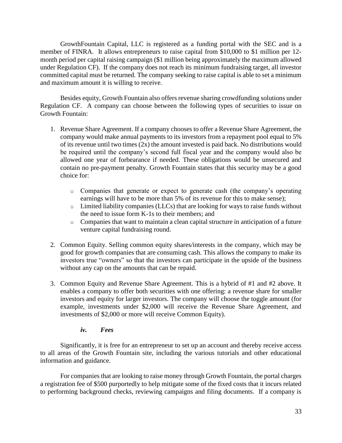GrowthFountain Capital, LLC is registered as a funding portal with the SEC and is a member of FINRA. It allows entrepreneurs to raise capital from \$10,000 to \$1 million per 12 month period per capital raising campaign (\$1 million being approximately the maximum allowed under Regulation CF). If the company does not reach its minimum fundraising target, all investor committed capital must be returned. The company seeking to raise capital is able to set a minimum and maximum amount it is willing to receive.

Besides equity, Growth Fountain also offers revenue sharing crowdfunding solutions under Regulation CF. A company can choose between the following types of securities to issue on Growth Fountain:

- 1. Revenue Share Agreement. If a company chooses to offer a Revenue Share Agreement, the company would make annual payments to its investors from a repayment pool equal to 5% of its revenue until two times (2x) the amount invested is paid back. No distributions would be required until the company's second full fiscal year and the company would also be allowed one year of forbearance if needed. These obligations would be unsecured and contain no pre-payment penalty. Growth Fountain states that this security may be a good choice for:
	- o Companies that generate or expect to generate cash (the company's operating earnings will have to be more than 5% of its revenue for this to make sense);
	- o Limited liability companies (LLCs) that are looking for ways to raise funds without the need to issue form K-1s to their members; and
	- o Companies that want to maintain a clean capital structure in anticipation of a future venture capital fundraising round.
- 2. Common Equity. Selling common equity shares/interests in the company, which may be good for growth companies that are consuming cash. This allows the company to make its investors true "owners" so that the investors can participate in the upside of the business without any cap on the amounts that can be repaid.
- 3. Common Equity and Revenue Share Agreement. This is a hybrid of #1 and #2 above. It enables a company to offer both securities with one offering: a revenue share for smaller investors and equity for larger investors. The company will choose the toggle amount (for example, investments under \$2,000 will receive the Revenue Share Agreement, and investments of \$2,000 or more will receive Common Equity).

### *iv. Fees*

Significantly, it is free for an entrepreneur to set up an account and thereby receive access to all areas of the Growth Fountain site, including the various tutorials and other educational information and guidance.

For companies that are looking to raise money through Growth Fountain, the portal charges a registration fee of \$500 purportedly to help mitigate some of the fixed costs that it incurs related to performing background checks, reviewing campaigns and filing documents. If a company is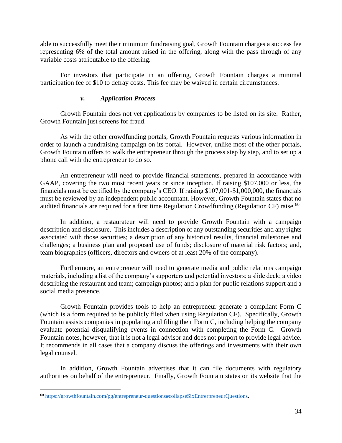able to successfully meet their minimum fundraising goal, Growth Fountain charges a success fee representing 6% of the total amount raised in the offering, along with the pass through of any variable costs attributable to the offering.

For investors that participate in an offering, Growth Fountain charges a minimal participation fee of \$10 to defray costs. This fee may be waived in certain circumstances.

### *v. Application Process*

Growth Fountain does not vet applications by companies to be listed on its site. Rather, Growth Fountain just screens for fraud.

As with the other crowdfunding portals, Growth Fountain requests various information in order to launch a fundraising campaign on its portal. However, unlike most of the other portals, Growth Fountain offers to walk the entrepreneur through the process step by step, and to set up a phone call with the entrepreneur to do so.

An entrepreneur will need to provide financial statements, prepared in accordance with GAAP, covering the two most recent years or since inception. If raising \$107,000 or less, the financials must be certified by the company's CEO. If raising \$107,001-\$1,000,000, the financials must be reviewed by an independent public accountant. However, Growth Fountain states that no audited financials are required for a first time Regulation Crowdfunding (Regulation CF) raise.<sup>60</sup>

In addition, a restaurateur will need to provide Growth Fountain with a campaign description and disclosure. This includes a description of any outstanding securities and any rights associated with those securities; a description of any historical results, financial milestones and challenges; a business plan and proposed use of funds; disclosure of material risk factors; and, team biographies (officers, directors and owners of at least 20% of the company).

Furthermore, an entrepreneur will need to generate media and public relations campaign materials, including a list of the company's supporters and potential investors; a slide deck; a video describing the restaurant and team; campaign photos; and a plan for public relations support and a social media presence.

Growth Fountain provides tools to help an entrepreneur generate a compliant Form C (which is a form required to be publicly filed when using Regulation CF). Specifically, Growth Fountain assists companies in populating and filing their Form C, including helping the company evaluate potential disqualifying events in connection with completing the Form C. Growth Fountain notes, however, that it is not a legal advisor and does not purport to provide legal advice. It recommends in all cases that a company discuss the offerings and investments with their own legal counsel.

In addition, Growth Fountain advertises that it can file documents with regulatory authorities on behalf of the entrepreneur. Finally, Growth Fountain states on its website that the

<sup>60</sup> [https://growthfountain.com/pg/entrepreneur-questions#collapseSixEntrerpreneurQuestions.](https://growthfountain.com/pg/entrepreneur-questions#collapseSixEntrerpreneurQuestions)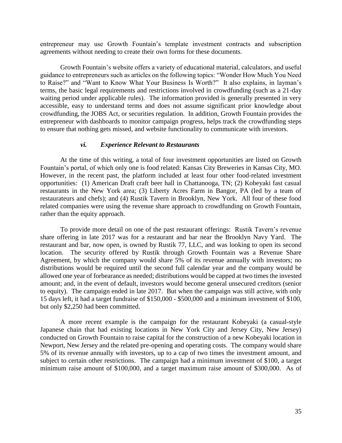entrepreneur may use Growth Fountain's template investment contracts and subscription agreements without needing to create their own forms for these documents.

Growth Fountain's website offers a variety of educational material, calculators, and useful guidance to entrepreneurs such as articles on the following topics: "Wonder How Much You Need to Raise?" and "Want to Know What Your Business Is Worth?" It also explains, in layman's terms, the basic legal requirements and restrictions involved in crowdfunding (such as a 21-day waiting period under applicable rules). The information provided is generally presented in very accessible, easy to understand terms and does not assume significant prior knowledge about crowdfunding, the JOBS Act, or securities regulation. In addition, Growth Fountain provides the entrepreneur with dashboards to monitor campaign progress, helps track the crowdfunding steps to ensure that nothing gets missed, and website functionality to communicate with investors.

#### *vi. Experience Relevant to Restaurants*

At the time of this writing, a total of four investment opportunities are listed on Growth Fountain's portal, of which only one is food related: Kansas City Breweries in Kansas City, MO. However, in the recent past, the platform included at least four other food-related investment opportunities: (1) American Draft craft beer hall in Chattanooga, TN; (2) Kobeyaki fast casual restaurants in the New York area; (3) Liberty Acres Farm in Bangor, PA (led by a team of restaurateurs and chefs); and (4) Rustik Tavern in Brooklyn, New York. All four of these food related companies were using the revenue share approach to crowdfunding on Growth Fountain, rather than the equity approach.

To provide more detail on one of the past restaurant offerings: Rustik Tavern's revenue share offering in late 2017 was for a restaurant and bar near the Brooklyn Navy Yard. The restaurant and bar, now open, is owned by Rustik 77, LLC, and was looking to open its second location. The security offered by Rustik through Growth Fountain was a Revenue Share Agreement, by which the company would share 5% of its revenue annually with investors; no distributions would be required until the second full calendar year and the company would be allowed one year of forbearance as needed; distributions would be capped at two times the invested amount; and, in the event of default, investors would become general unsecured creditors (senior to equity). The campaign ended in late 2017. But when the campaign was still active, with only 15 days left, it had a target fundraise of \$150,000 - \$500,000 and a minimum investment of \$100, but only \$2,250 had been committed.

A more recent example is the campaign for the restaurant Kobeyaki (a casual-style Japanese chain that had existing locations in New York City and Jersey City, New Jersey) conducted on Growth Fountain to raise capital for the construction of a new Kobeyaki location in Newport, New Jersey and the related pre-opening and operating costs. The company would share 5% of its revenue annually with investors, up to a cap of two times the investment amount, and subject to certain other restrictions. The campaign had a minimum investment of \$100, a target minimum raise amount of \$100,000, and a target maximum raise amount of \$300,000. As of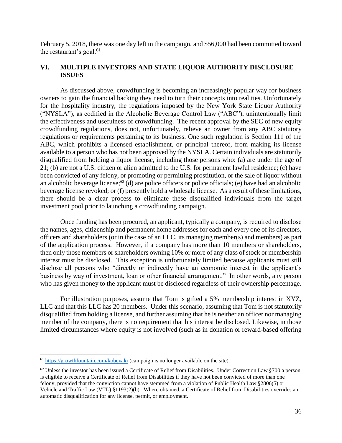February 5, 2018, there was one day left in the campaign, and \$56,000 had been committed toward the restaurant's goal. $61$ 

## **VI. MULTIPLE INVESTORS AND STATE LIQUOR AUTHORITY DISCLOSURE ISSUES**

As discussed above, crowdfunding is becoming an increasingly popular way for business owners to gain the financial backing they need to turn their concepts into realities. Unfortunately for the hospitality industry, the regulations imposed by the New York State Liquor Authority ("NYSLA"), as codified in the Alcoholic Beverage Control Law ("ABC"), unintentionally limit the effectiveness and usefulness of crowdfunding. The recent approval by the SEC of new equity crowdfunding regulations, does not, unfortunately, relieve an owner from any ABC statutory regulations or requirements pertaining to its business. One such regulation is Section 111 of the ABC, which prohibits a licensed establishment, or principal thereof, from making its license available to a person who has not been approved by the NYSLA. Certain individuals are statutorily disqualified from holding a liquor license, including those persons who: (a) are under the age of 21; (b) are not a U.S. citizen or alien admitted to the U.S. for permanent lawful residence; (c) have been convicted of any felony, or promoting or permitting prostitution, or the sale of liquor without an alcoholic beverage license; <sup>62</sup> (d) are police officers or police officials; (e) have had an alcoholic beverage license revoked; or (f) presently hold a wholesale license. As a result of these limitations, there should be a clear process to eliminate these disqualified individuals from the target investment pool prior to launching a crowdfunding campaign.

Once funding has been procured, an applicant, typically a company, is required to disclose the names, ages, citizenship and permanent home addresses for each and every one of its directors, officers and shareholders (or in the case of an LLC, its managing member(s) and members) as part of the application process. However, if a company has more than 10 members or shareholders, then only those members or shareholders owning 10% or more of any class of stock or membership interest must be disclosed. This exception is unfortunately limited because applicants must still disclose all persons who "directly or indirectly have an economic interest in the applicant's business by way of investment, loan or other financial arrangement." In other words, any person who has given money to the applicant must be disclosed regardless of their ownership percentage.

For illustration purposes, assume that Tom is gifted a 5% membership interest in XYZ, LLC and that this LLC has 20 members. Under this scenario, assuming that Tom is not statutorily disqualified from holding a license, and further assuming that he is neither an officer nor managing member of the company, there is no requirement that his interest be disclosed. Likewise, in those limited circumstances where equity is not involved (such as in donation or reward-based offering

<sup>&</sup>lt;sup>61</sup> <https://growthfountain.com/kobeyaki> (campaign is no longer available on the site).

 $62$  Unless the investor has been issued a Certificate of Relief from Disabilities. Under Correction Law §700 a person is eligible to receive a Certificate of Relief from Disabilities if they have not been convicted of more than one felony, provided that the conviction cannot have stemmed from a violation of Public Health Law §2806(5) or Vehicle and Traffic Law (VTL) §1193(2)(b). Where obtained, a Certificate of Relief from Disabilities overrides an automatic disqualification for any license, permit, or employment.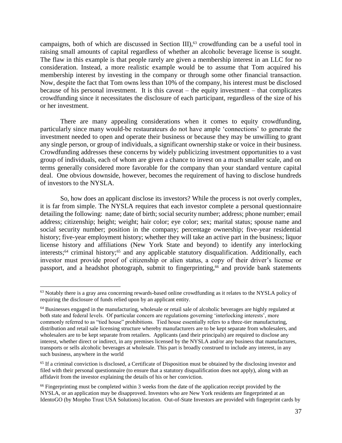campaigns, both of which are discussed in Section III), <sup>63</sup> crowdfunding can be a useful tool in raising small amounts of capital regardless of whether an alcoholic beverage license is sought. The flaw in this example is that people rarely are given a membership interest in an LLC for no consideration. Instead, a more realistic example would be to assume that Tom acquired his membership interest by investing in the company or through some other financial transaction. Now, despite the fact that Tom owns less than 10% of the company, his interest must be disclosed because of his personal investment. It is this caveat – the equity investment – that complicates crowdfunding since it necessitates the disclosure of each participant, regardless of the size of his or her investment.

There are many appealing considerations when it comes to equity crowdfunding, particularly since many would-be restaurateurs do not have ample 'connections' to generate the investment needed to open and operate their business or because they may be unwilling to grant any single person, or group of individuals, a significant ownership stake or voice in their business. Crowdfunding addresses these concerns by widely publicizing investment opportunities to a vast group of individuals, each of whom are given a chance to invest on a much smaller scale, and on terms generally considered more favorable for the company than your standard venture capital deal. One obvious downside, however, becomes the requirement of having to disclose hundreds of investors to the NYSLA.

So, how does an applicant disclose its investors? While the process is not overly complex, it is far from simple. The NYSLA requires that each investor complete a personal questionnaire detailing the following: name; date of birth; social security number; address; phone number; email address; citizenship; height; weight; hair color; eye color; sex; marital status; spouse name and social security number; position in the company; percentage ownership; five-year residential history; five-year employment history; whether they will take an active part in the business; liquor license history and affiliations (New York State and beyond) to identify any interlocking interests; <sup>64</sup> criminal history; <sup>65</sup> and any applicable statutory disqualification. Additionally, each investor must provide proof of citizenship or alien status, a copy of their driver's license or passport, and a headshot photograph, submit to fingerprinting,<sup>66</sup> and provide bank statements

<sup>&</sup>lt;sup>63</sup> Notably there is a gray area concerning rewards-based online crowdfunding as it relates to the NYSLA policy of requiring the disclosure of funds relied upon by an applicant entity.

<sup>&</sup>lt;sup>64</sup> Businesses engaged in the manufacturing, wholesale or retail sale of alcoholic beverages are highly regulated at both state and federal levels. Of particular concern are regulations governing 'interlocking interests', more commonly referred to as "tied house" prohibitions. Tied house essentially refers to a three-tier manufacturing, distribution and retail sale licensing structure whereby manufacturers are to be kept separate from wholesalers, and wholesalers are to be kept separate from retailers. Applicants (and their principals) are required to disclose any interest, whether direct or indirect, in any premises licensed by the NYSLA and/or any business that manufactures, transports or sells alcoholic beverages at wholesale. This part is broadly construed to include any interest, in any such business, anywhere in the world

<sup>65</sup> If a criminal conviction is disclosed, a Certificate of Disposition must be obtained by the disclosing investor and filed with their personal questionnaire (to ensure that a statutory disqualification does not apply), along with an affidavit from the investor explaining the details of his or her conviction.

<sup>&</sup>lt;sup>66</sup> Fingerprinting must be completed within 3 weeks from the date of the application receipt provided by the NYSLA, or an application may be disapproved. Investors who are New York residents are fingerprinted at an IdentoGO (by Morpho Trust USA Solutions) location. Out-of-State Investors are provided with fingerprint cards by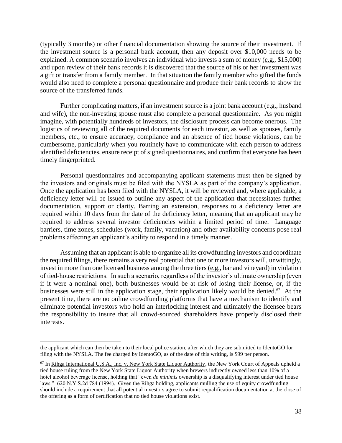(typically 3 months) or other financial documentation showing the source of their investment. If the investment source is a personal bank account, then any deposit over \$10,000 needs to be explained. A common scenario involves an individual who invests a sum of money (e.g., \$15,000) and upon review of their bank records it is discovered that the source of his or her investment was a gift or transfer from a family member. In that situation the family member who gifted the funds would also need to complete a personal questionnaire and produce their bank records to show the source of the transferred funds.

Further complicating matters, if an investment source is a joint bank account (e.g., husband and wife), the non-investing spouse must also complete a personal questionnaire. As you might imagine, with potentially hundreds of investors, the disclosure process can become onerous. The logistics of reviewing all of the required documents for each investor, as well as spouses, family members, etc., to ensure accuracy, compliance and an absence of tied house violations, can be cumbersome, particularly when you routinely have to communicate with each person to address identified deficiencies, ensure receipt of signed questionnaires, and confirm that everyone has been timely fingerprinted.

Personal questionnaires and accompanying applicant statements must then be signed by the investors and originals must be filed with the NYSLA as part of the company's application. Once the application has been filed with the NYSLA, it will be reviewed and, where applicable, a deficiency letter will be issued to outline any aspect of the application that necessitates further documentation, support or clarity. Barring an extension, responses to a deficiency letter are required within 10 days from the date of the deficiency letter, meaning that an applicant may be required to address several investor deficiencies within a limited period of time. Language barriers, time zones, schedules (work, family, vacation) and other availability concerns pose real problems affecting an applicant's ability to respond in a timely manner.

Assuming that an applicant is able to organize all its crowdfunding investors and coordinate the required filings, there remains a very real potential that one or more investors will, unwittingly, invest in more than one licensed business among the three tiers (e.g., bar and vineyard) in violation of tied-house restrictions. In such a scenario, regardless of the investor's ultimate ownership (even if it were a nominal one), both businesses would be at risk of losing their license, or, if the businesses were still in the application stage, their application likely would be denied.<sup>67</sup> At the present time, there are no online crowdfunding platforms that have a mechanism to identify and eliminate potential investors who hold an interlocking interest and ultimately the licensee bears the responsibility to insure that all crowd-sourced shareholders have properly disclosed their interests.

the applicant which can then be taken to their local police station, after which they are submitted to IdentoGO for filing with the NYSLA. The fee charged by IdentoGO, as of the date of this writing, is \$99 per person.

<sup>&</sup>lt;sup>67</sup> In Rihga International U.S.A., Inc. v. New York State Liquor Authority, the New York Court of Appeals upheld a tied house ruling from the New York State Liquor Authority when brewers indirectly owned less than 10% of a hotel alcohol beverage license, holding that "even *de minimis* ownership is a disqualifying interest under tied house laws." 620 N.Y.S.2d 784 (1994). Given the Rihga holding, applicants mulling the use of equity crowdfunding should include a requirement that all potential investors agree to submit requalification documentation at the close of the offering as a form of certification that no tied house violations exist.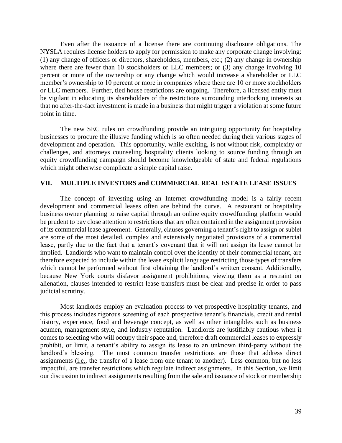Even after the issuance of a license there are continuing disclosure obligations. The NYSLA requires license holders to apply for permission to make any corporate change involving: (1) any change of officers or directors, shareholders, members, etc.; (2) any change in ownership where there are fewer than 10 stockholders or LLC members; or (3) any change involving 10 percent or more of the ownership or any change which would increase a shareholder or LLC member's ownership to 10 percent or more in companies where there are 10 or more stockholders or LLC members. Further, tied house restrictions are ongoing. Therefore, a licensed entity must be vigilant in educating its shareholders of the restrictions surrounding interlocking interests so that no after-the-fact investment is made in a business that might trigger a violation at some future point in time.

The new SEC rules on crowdfunding provide an intriguing opportunity for hospitality businesses to procure the illusive funding which is so often needed during their various stages of development and operation. This opportunity, while exciting, is not without risk, complexity or challenges, and attorneys counseling hospitality clients looking to source funding through an equity crowdfunding campaign should become knowledgeable of state and federal regulations which might otherwise complicate a simple capital raise.

#### **VII. MULTIPLE INVESTORS and COMMERCIAL REAL ESTATE LEASE ISSUES**

The concept of investing using an Internet crowdfunding model is a fairly recent development and commercial leases often are behind the curve. A restaurant or hospitality business owner planning to raise capital through an online equity crowdfunding platform would be prudent to pay close attention to restrictions that are often contained in the assignment provision of its commercial lease agreement. Generally, clauses governing a tenant's right to assign or sublet are some of the most detailed, complex and extensively negotiated provisions of a commercial lease, partly due to the fact that a tenant's covenant that it will not assign its lease cannot be implied. Landlords who want to maintain control over the identity of their commercial tenant, are therefore expected to include within the lease explicit language restricting those types of transfers which cannot be performed without first obtaining the landlord's written consent. Additionally, because New York courts disfavor assignment prohibitions, viewing them as a restraint on alienation, clauses intended to restrict lease transfers must be clear and precise in order to pass judicial scrutiny.

Most landlords employ an evaluation process to vet prospective hospitality tenants, and this process includes rigorous screening of each prospective tenant's financials, credit and rental history, experience, food and beverage concept, as well as other intangibles such as business acumen, management style, and industry reputation. Landlords are justifiably cautious when it comes to selecting who will occupy their space and, therefore draft commercial leases to expressly prohibit, or limit, a tenant's ability to assign its lease to an unknown third-party without the landlord's blessing. The most common transfer restrictions are those that address direct assignments (i.e., the transfer of a lease from one tenant to another). Less common, but no less impactful, are transfer restrictions which regulate indirect assignments. In this Section, we limit our discussion to indirect assignments resulting from the sale and issuance of stock or membership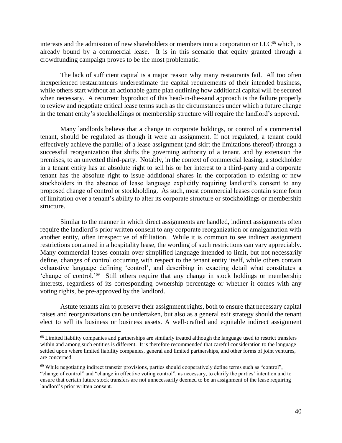interests and the admission of new shareholders or members into a corporation or  $LLC^{68}$  which, is already bound by a commercial lease. It is in this scenario that equity granted through a crowdfunding campaign proves to be the most problematic.

The lack of sufficient capital is a major reason why many restaurants fail. All too often inexperienced restauranteurs underestimate the capital requirements of their intended business, while others start without an actionable game plan outlining how additional capital will be secured when necessary. A recurrent byproduct of this head-in-the-sand approach is the failure properly to review and negotiate critical lease terms such as the circumstances under which a future change in the tenant entity's stockholdings or membership structure will require the landlord's approval.

Many landlords believe that a change in corporate holdings, or control of a commercial tenant, should be regulated as though it were an assignment. If not regulated, a tenant could effectively achieve the parallel of a lease assignment (and skirt the limitations thereof) through a successful reorganization that shifts the governing authority of a tenant, and by extension the premises, to an unvetted third-party. Notably, in the context of commercial leasing, a stockholder in a tenant entity has an absolute right to sell his or her interest to a third-party and a corporate tenant has the absolute right to issue additional shares in the corporation to existing or new stockholders in the absence of lease language explicitly requiring landlord's consent to any proposed change of control or stockholding. As such, most commercial leases contain some form of limitation over a tenant's ability to alter its corporate structure or stockholdings or membership structure.

Similar to the manner in which direct assignments are handled, indirect assignments often require the landlord's prior written consent to any corporate reorganization or amalgamation with another entity, often irrespective of affiliation. While it is common to see indirect assignment restrictions contained in a hospitality lease, the wording of such restrictions can vary appreciably. Many commercial leases contain over simplified language intended to limit, but not necessarily define, changes of control occurring with respect to the tenant entity itself, while others contain exhaustive language defining 'control', and describing in exacting detail what constitutes a 'change of control.'<sup>69</sup> Still others require that any change in stock holdings or membership interests, regardless of its corresponding ownership percentage or whether it comes with any voting rights, be pre-approved by the landlord.

Astute tenants aim to preserve their assignment rights, both to ensure that necessary capital raises and reorganizations can be undertaken, but also as a general exit strategy should the tenant elect to sell its business or business assets. A well-crafted and equitable indirect assignment

<sup>&</sup>lt;sup>68</sup> Limited liability companies and partnerships are similarly treated although the language used to restrict transfers within and among such entities is different. It is therefore recommended that careful consideration to the language settled upon where limited liability companies, general and limited partnerships, and other forms of joint ventures, are concerned.

 $69$  While negotiating indirect transfer provisions, parties should cooperatively define terms such as "control", "change of control" and "change in effective voting control", as necessary, to clarify the parties' intention and to ensure that certain future stock transfers are not unnecessarily deemed to be an assignment of the lease requiring landlord's prior written consent.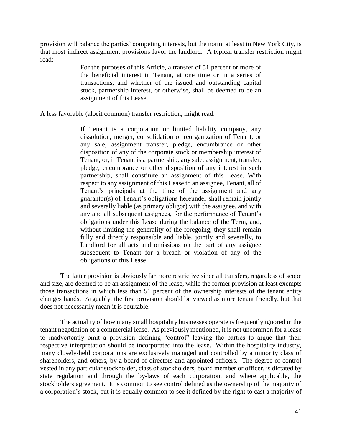provision will balance the parties' competing interests, but the norm, at least in New York City, is that most indirect assignment provisions favor the landlord. A typical transfer restriction might read:

> For the purposes of this Article, a transfer of 51 percent or more of the beneficial interest in Tenant, at one time or in a series of transactions, and whether of the issued and outstanding capital stock, partnership interest, or otherwise, shall be deemed to be an assignment of this Lease.

A less favorable (albeit common) transfer restriction, might read:

If Tenant is a corporation or limited liability company, any dissolution, merger, consolidation or reorganization of Tenant, or any sale, assignment transfer, pledge, encumbrance or other disposition of any of the corporate stock or membership interest of Tenant, or, if Tenant is a partnership, any sale, assignment, transfer, pledge, encumbrance or other disposition of any interest in such partnership, shall constitute an assignment of this Lease. With respect to any assignment of this Lease to an assignee, Tenant, all of Tenant's principals at the time of the assignment and any guarantor(s) of Tenant's obligations hereunder shall remain jointly and severally liable (as primary obligor) with the assignee, and with any and all subsequent assignees, for the performance of Tenant's obligations under this Lease during the balance of the Term, and, without limiting the generality of the foregoing, they shall remain fully and directly responsible and liable, jointly and severally, to Landlord for all acts and omissions on the part of any assignee subsequent to Tenant for a breach or violation of any of the obligations of this Lease.

The latter provision is obviously far more restrictive since all transfers, regardless of scope and size, are deemed to be an assignment of the lease, while the former provision at least exempts those transactions in which less than 51 percent of the ownership interests of the tenant entity changes hands. Arguably, the first provision should be viewed as more tenant friendly, but that does not necessarily mean it is equitable.

The actuality of how many small hospitality businesses operate is frequently ignored in the tenant negotiation of a commercial lease. As previously mentioned, it is not uncommon for a lease to inadvertently omit a provision defining "control" leaving the parties to argue that their respective interpretation should be incorporated into the lease. Within the hospitality industry, many closely-held corporations are exclusively managed and controlled by a minority class of shareholders, and others, by a board of directors and appointed officers. The degree of control vested in any particular stockholder, class of stockholders, board member or officer, is dictated by state regulation and through the by-laws of each corporation, and where applicable, the stockholders agreement. It is common to see control defined as the ownership of the majority of a corporation's stock, but it is equally common to see it defined by the right to cast a majority of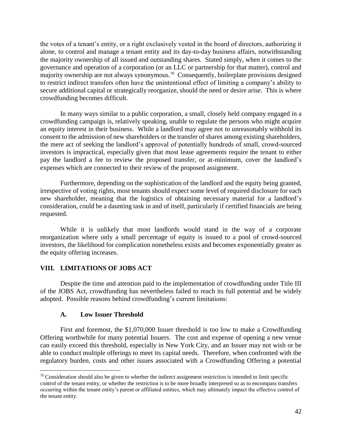the votes of a tenant's entity, or a right exclusively vested in the board of directors, authorizing it alone, to control and manage a tenant entity and its day-to-day business affairs, notwithstanding the majority ownership of all issued and outstanding shares. Stated simply, when it comes to the governance and operation of a corporation (or an LLC or partnership for that matter), control and majority ownership are not always synonymous.<sup>70</sup> Consequently, boilerplate provisions designed to restrict indirect transfers often have the unintentional effect of limiting a company's ability to secure additional capital or strategically reorganize, should the need or desire arise. This is where crowdfunding becomes difficult.

In many ways similar to a public corporation, a small, closely held company engaged in a crowdfunding campaign is, relatively speaking, unable to regulate the persons who might acquire an equity interest in their business. While a landlord may agree not to unreasonably withhold its consent to the admission of new shareholders or the transfer of shares among existing shareholders, the mere act of seeking the landlord's approval of potentially hundreds of small, crowd-sourced investors is impractical, especially given that most lease agreements require the tenant to either pay the landlord a fee to review the proposed transfer, or at-minimum, cover the landlord's expenses which are connected to their review of the proposed assignment.

Furthermore, depending on the sophistication of the landlord and the equity being granted, irrespective of voting rights, most tenants should expect some level of required disclosure for each new shareholder, meaning that the logistics of obtaining necessary material for a landlord's consideration, could be a daunting task in and of itself, particularly if certified financials are being requested.

While it is unlikely that most landlords would stand in the way of a corporate reorganization where only a small percentage of equity is issued to a pool of crowd-sourced investors, the likelihood for complication nonetheless exists and becomes exponentially greater as the equity offering increases.

## **VIII. LIMITATIONS OF JOBS ACT**

Despite the time and attention paid to the implementation of crowdfunding under Title III of the JOBS Act, crowdfunding has nevertheless failed to reach its full potential and be widely adopted. Possible reasons behind crowdfunding's current limitations:

#### **A. Low Issuer Threshold**

 $\overline{a}$ 

First and foremost, the \$1,070,000 Issuer threshold is too low to make a Crowdfunding Offering worthwhile for many potential Issuers. The cost and expense of opening a new venue can easily exceed this threshold, especially in New York City, and an Issuer may not wish or be able to conduct multiple offerings to meet its capital needs. Therefore, when confronted with the regulatory burden, costs and other issues associated with a Crowdfunding Offering a potential

 $70$  Consideration should also be given to whether the indirect assignment restriction is intended to limit specific control of the tenant entity, or whether the restriction is to be more broadly interpreted so as to encompass transfers occurring within the tenant entity's parent or affiliated entities, which may ultimately impact the effective control of the tenant entity.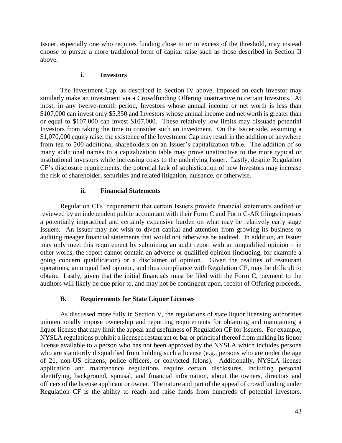Issuer, especially one who requires funding close to or in excess of the threshold, may instead choose to pursue a more traditional form of capital raise such as those described in Section II above.

#### **i. Investors**

The Investment Cap, as described in Section IV above, imposed on each Investor may similarly make an investment via a Crowdfunding Offering unattractive to certain Investors. At most, in any twelve-month period, Investors whose annual income or net worth is less than \$107,000 can invest only \$5,350 and Investors whose annual income and net worth is greater than or equal to \$107,000 can invest \$107,000. These relatively low limits may dissuade potential Investors from taking the time to consider such an investment. On the Issuer side, assuming a \$1,070,000 equity raise, the existence of the Investment Cap may result in the addition of anywhere from ten to 200 additional shareholders on an Issuer's capitalization table. The addition of so many additional names to a capitalization table may prove unattractive to the more typical or institutional investors while increasing costs to the underlying Issuer. Lastly, despite Regulation CF's disclosure requirements, the potential lack of sophistication of new Investors may increase the risk of shareholder, securities and related litigation, nuisance, or otherwise.

#### **ii. Financial Statements**

Regulation CFs' requirement that certain Issuers provide financial statements audited or reviewed by an independent public accountant with their Form C and Form C-AR filings imposes a potentially impractical and certainly expensive burden on what may be relatively early stage Issuers. An Issuer may not wish to divert capital and attention from growing its business to auditing meager financial statements that would not otherwise be audited. In addition, an Issuer may only meet this requirement by submitting an audit report with an unqualified opinion – in other words, the report cannot contain an adverse or qualified opinion (including, for example a going concern qualification) or a disclaimer of opinion. Given the realities of restaurant operations, an unqualified opinion, and thus compliance with Regulation CF, may be difficult to obtain. Lastly, given that the initial financials must be filed with the Form C, payment to the auditors will likely be due prior to, and may not be contingent upon, receipt of Offering proceeds.

## **B. Requirements for State Liquor Licenses**

As discussed more fully in Section V, the regulations of state liquor licensing authorities unintentionally impose ownership and reporting requirements for obtaining and maintaining a liquor license that may limit the appeal and usefulness of Regulation CF for Issuers. For example, NYSLA regulations prohibit a licensed restaurant or bar or principal thereof from making its liquor license available to a person who has not been approved by the NYSLA which includes persons who are statutorily disqualified from holding such a license  $(e.g.,)$  persons who are under the age of 21, non-US citizens, police officers, or convicted felons). Additionally, NYSLA license application and maintenance regulations require certain disclosures, including personal identifying, background, spousal, and financial information, about the owners, directors and officers of the license applicant or owner. The nature and part of the appeal of crowdfunding under Regulation CF is the ability to reach and raise funds from hundreds of potential investors.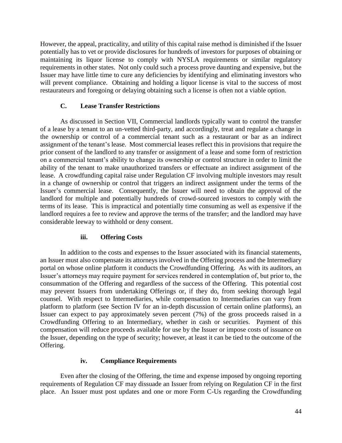However, the appeal, practicality, and utility of this capital raise method is diminished if the Issuer potentially has to vet or provide disclosures for hundreds of investors for purposes of obtaining or maintaining its liquor license to comply with NYSLA requirements or similar regulatory requirements in other states. Not only could such a process prove daunting and expensive, but the Issuer may have little time to cure any deficiencies by identifying and eliminating investors who will prevent compliance. Obtaining and holding a liquor license is vital to the success of most restaurateurs and foregoing or delaying obtaining such a license is often not a viable option.

## **C. Lease Transfer Restrictions**

As discussed in Section VII, Commercial landlords typically want to control the transfer of a lease by a tenant to an un-vetted third-party, and accordingly, treat and regulate a change in the ownership or control of a commercial tenant such as a restaurant or bar as an indirect assignment of the tenant's lease. Most commercial leases reflect this in provisions that require the prior consent of the landlord to any transfer or assignment of a lease and some form of restriction on a commercial tenant's ability to change its ownership or control structure in order to limit the ability of the tenant to make unauthorized transfers or effectuate an indirect assignment of the lease. A crowdfunding capital raise under Regulation CF involving multiple investors may result in a change of ownership or control that triggers an indirect assignment under the terms of the Issuer's commercial lease. Consequently, the Issuer will need to obtain the approval of the landlord for multiple and potentially hundreds of crowd-sourced investors to comply with the terms of its lease. This is impractical and potentially time consuming as well as expensive if the landlord requires a fee to review and approve the terms of the transfer; and the landlord may have considerable leeway to withhold or deny consent.

## **iii. Offering Costs**

In addition to the costs and expenses to the Issuer associated with its financial statements, an Issuer must also compensate its attorneys involved in the Offering process and the Intermediary portal on whose online platform it conducts the Crowdfunding Offering. As with its auditors, an Issuer's attorneys may require payment for services rendered in contemplation of, but prior to, the consummation of the Offering and regardless of the success of the Offering. This potential cost may prevent Issuers from undertaking Offerings or, if they do, from seeking thorough legal counsel. With respect to Intermediaries, while compensation to Intermediaries can vary from platform to platform (see Section IV for an in-depth discussion of certain online platforms), an Issuer can expect to pay approximately seven percent (7%) of the gross proceeds raised in a Crowdfunding Offering to an Intermediary, whether in cash or securities. Payment of this compensation will reduce proceeds available for use by the Issuer or impose costs of issuance on the Issuer, depending on the type of security; however, at least it can be tied to the outcome of the Offering.

## **iv. Compliance Requirements**

Even after the closing of the Offering, the time and expense imposed by ongoing reporting requirements of Regulation CF may dissuade an Issuer from relying on Regulation CF in the first place. An Issuer must post updates and one or more Form C-Us regarding the Crowdfunding